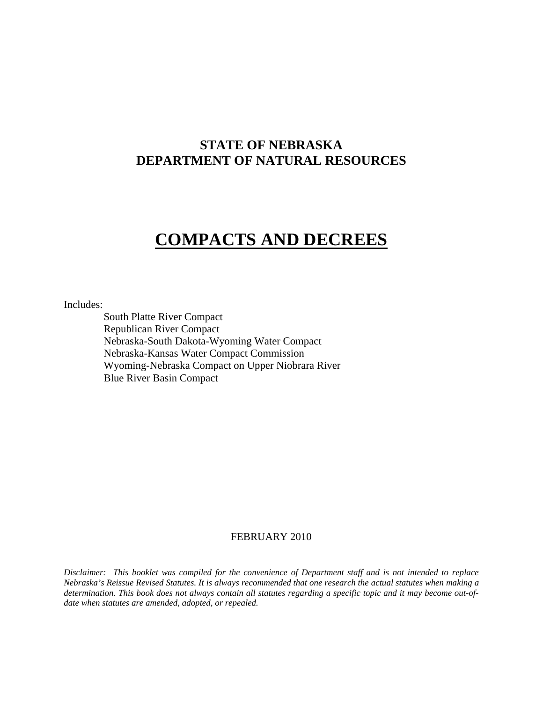## **STATE OF NEBRASKA DEPARTMENT OF NATURAL RESOURCES**

# **COMPACTS AND DECREES**

Includes:

South Platte River Compact Republican River Compact Nebraska-South Dakota-Wyoming Water Compact Nebraska-Kansas Water Compact Commission Wyoming-Nebraska Compact on Upper Niobrara River Blue River Basin Compact

## FEBRUARY 2010

*Disclaimer: This booklet was compiled for the convenience of Department staff and is not intended to replace Nebraska's Reissue Revised Statutes. It is always recommended that one research the actual statutes when making a determination. This book does not always contain all statutes regarding a specific topic and it may become out-ofdate when statutes are amended, adopted, or repealed.*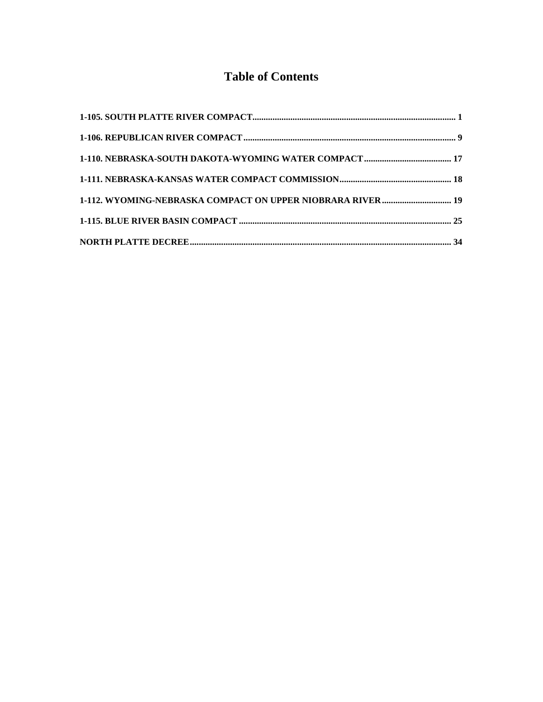## **Table of Contents**

| 1-112. WYOMING-NEBRASKA COMPACT ON UPPER NIOBRARA RIVER  19 |  |
|-------------------------------------------------------------|--|
|                                                             |  |
|                                                             |  |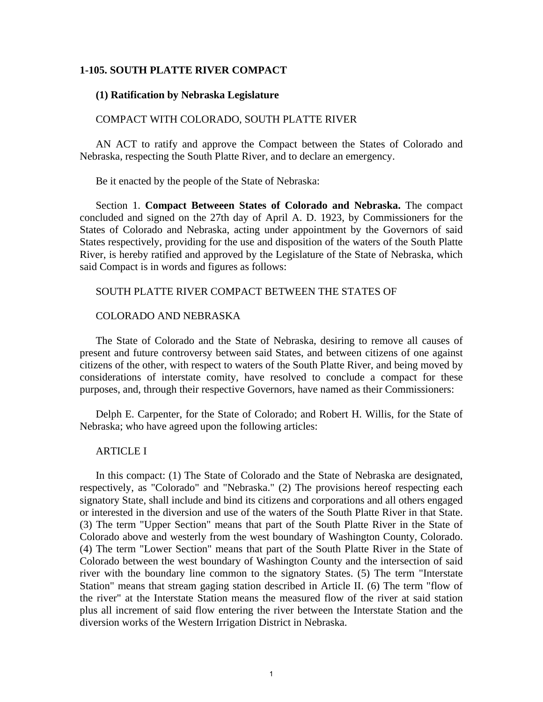## <span id="page-2-0"></span>**1-105. SOUTH PLATTE RIVER COMPACT**

#### **(1) Ratification by Nebraska Legislature**

#### COMPACT WITH COLORADO, SOUTH PLATTE RIVER

AN ACT to ratify and approve the Compact between the States of Colorado and Nebraska, respecting the South Platte River, and to declare an emergency.

Be it enacted by the people of the State of Nebraska:

Section 1. **Compact Betweeen States of Colorado and Nebraska.** The compact concluded and signed on the 27th day of April A. D. 1923, by Commissioners for the States of Colorado and Nebraska, acting under appointment by the Governors of said States respectively, providing for the use and disposition of the waters of the South Platte River, is hereby ratified and approved by the Legislature of the State of Nebraska, which said Compact is in words and figures as follows:

#### SOUTH PLATTE RIVER COMPACT BETWEEN THE STATES OF

#### COLORADO AND NEBRASKA

The State of Colorado and the State of Nebraska, desiring to remove all causes of present and future controversy between said States, and between citizens of one against citizens of the other, with respect to waters of the South Platte River, and being moved by considerations of interstate comity, have resolved to conclude a compact for these purposes, and, through their respective Governors, have named as their Commissioners:

Delph E. Carpenter, for the State of Colorado; and Robert H. Willis, for the State of Nebraska; who have agreed upon the following articles:

## ARTICLE I

In this compact: (1) The State of Colorado and the State of Nebraska are designated, respectively, as "Colorado" and "Nebraska." (2) The provisions hereof respecting each signatory State, shall include and bind its citizens and corporations and all others engaged or interested in the diversion and use of the waters of the South Platte River in that State. (3) The term "Upper Section" means that part of the South Platte River in the State of Colorado above and westerly from the west boundary of Washington County, Colorado. (4) The term "Lower Section" means that part of the South Platte River in the State of Colorado between the west boundary of Washington County and the intersection of said river with the boundary line common to the signatory States. (5) The term "Interstate Station" means that stream gaging station described in Article II. (6) The term "flow of the river" at the Interstate Station means the measured flow of the river at said station plus all increment of said flow entering the river between the Interstate Station and the diversion works of the Western Irrigation District in Nebraska.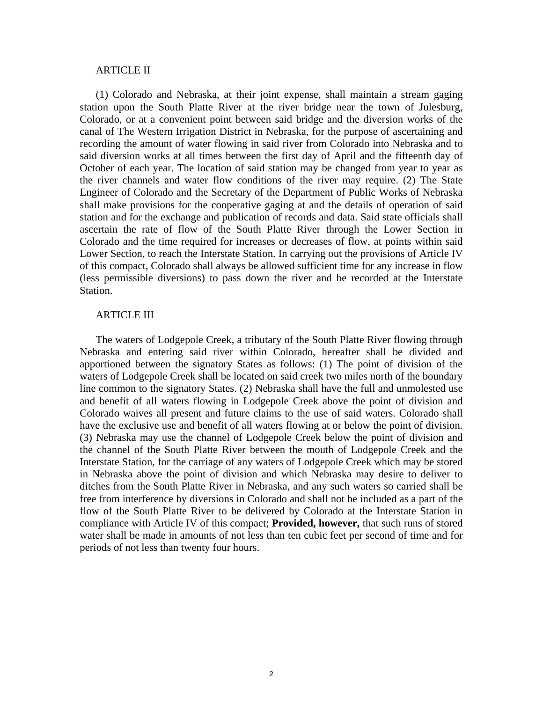#### ARTICLE II

(1) Colorado and Nebraska, at their joint expense, shall maintain a stream gaging station upon the South Platte River at the river bridge near the town of Julesburg, Colorado, or at a convenient point between said bridge and the diversion works of the canal of The Western Irrigation District in Nebraska, for the purpose of ascertaining and recording the amount of water flowing in said river from Colorado into Nebraska and to said diversion works at all times between the first day of April and the fifteenth day of October of each year. The location of said station may be changed from year to year as the river channels and water flow conditions of the river may require. (2) The State Engineer of Colorado and the Secretary of the Department of Public Works of Nebraska shall make provisions for the cooperative gaging at and the details of operation of said station and for the exchange and publication of records and data. Said state officials shall ascertain the rate of flow of the South Platte River through the Lower Section in Colorado and the time required for increases or decreases of flow, at points within said Lower Section, to reach the Interstate Station. In carrying out the provisions of Article IV of this compact, Colorado shall always be allowed sufficient time for any increase in flow (less permissible diversions) to pass down the river and be recorded at the Interstate Station.

#### ARTICLE III

The waters of Lodgepole Creek, a tributary of the South Platte River flowing through Nebraska and entering said river within Colorado, hereafter shall be divided and apportioned between the signatory States as follows: (1) The point of division of the waters of Lodgepole Creek shall be located on said creek two miles north of the boundary line common to the signatory States. (2) Nebraska shall have the full and unmolested use and benefit of all waters flowing in Lodgepole Creek above the point of division and Colorado waives all present and future claims to the use of said waters. Colorado shall have the exclusive use and benefit of all waters flowing at or below the point of division. (3) Nebraska may use the channel of Lodgepole Creek below the point of division and the channel of the South Platte River between the mouth of Lodgepole Creek and the Interstate Station, for the carriage of any waters of Lodgepole Creek which may be stored in Nebraska above the point of division and which Nebraska may desire to deliver to ditches from the South Platte River in Nebraska, and any such waters so carried shall be free from interference by diversions in Colorado and shall not be included as a part of the flow of the South Platte River to be delivered by Colorado at the Interstate Station in compliance with Article IV of this compact; **Provided, however,** that such runs of stored water shall be made in amounts of not less than ten cubic feet per second of time and for periods of not less than twenty four hours.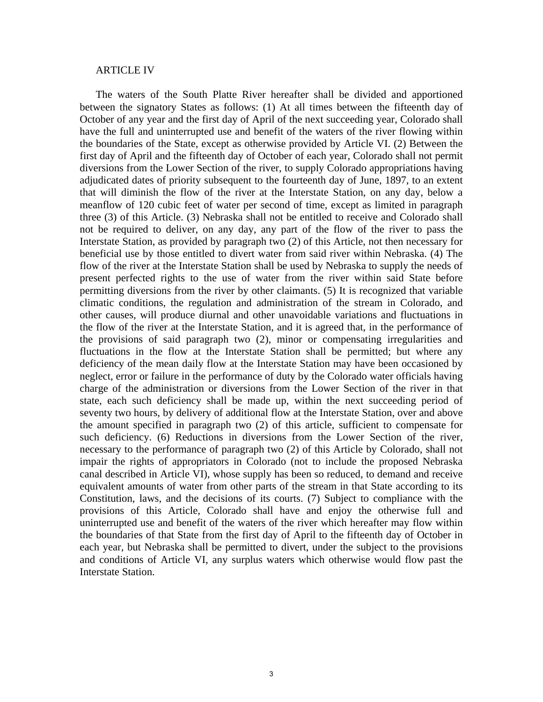#### ARTICLE IV

The waters of the South Platte River hereafter shall be divided and apportioned between the signatory States as follows: (1) At all times between the fifteenth day of October of any year and the first day of April of the next succeeding year, Colorado shall have the full and uninterrupted use and benefit of the waters of the river flowing within the boundaries of the State, except as otherwise provided by Article VI. (2) Between the first day of April and the fifteenth day of October of each year, Colorado shall not permit diversions from the Lower Section of the river, to supply Colorado appropriations having adjudicated dates of priority subsequent to the fourteenth day of June, 1897, to an extent that will diminish the flow of the river at the Interstate Station, on any day, below a meanflow of 120 cubic feet of water per second of time, except as limited in paragraph three (3) of this Article. (3) Nebraska shall not be entitled to receive and Colorado shall not be required to deliver, on any day, any part of the flow of the river to pass the Interstate Station, as provided by paragraph two (2) of this Article, not then necessary for beneficial use by those entitled to divert water from said river within Nebraska. (4) The flow of the river at the Interstate Station shall be used by Nebraska to supply the needs of present perfected rights to the use of water from the river within said State before permitting diversions from the river by other claimants. (5) It is recognized that variable climatic conditions, the regulation and administration of the stream in Colorado, and other causes, will produce diurnal and other unavoidable variations and fluctuations in the flow of the river at the Interstate Station, and it is agreed that, in the performance of the provisions of said paragraph two (2), minor or compensating irregularities and fluctuations in the flow at the Interstate Station shall be permitted; but where any deficiency of the mean daily flow at the Interstate Station may have been occasioned by neglect, error or failure in the performance of duty by the Colorado water officials having charge of the administration or diversions from the Lower Section of the river in that state, each such deficiency shall be made up, within the next succeeding period of seventy two hours, by delivery of additional flow at the Interstate Station, over and above the amount specified in paragraph two (2) of this article, sufficient to compensate for such deficiency. (6) Reductions in diversions from the Lower Section of the river, necessary to the performance of paragraph two (2) of this Article by Colorado, shall not impair the rights of appropriators in Colorado (not to include the proposed Nebraska canal described in Article VI), whose supply has been so reduced, to demand and receive equivalent amounts of water from other parts of the stream in that State according to its Constitution, laws, and the decisions of its courts. (7) Subject to compliance with the provisions of this Article, Colorado shall have and enjoy the otherwise full and uninterrupted use and benefit of the waters of the river which hereafter may flow within the boundaries of that State from the first day of April to the fifteenth day of October in each year, but Nebraska shall be permitted to divert, under the subject to the provisions and conditions of Article VI, any surplus waters which otherwise would flow past the Interstate Station.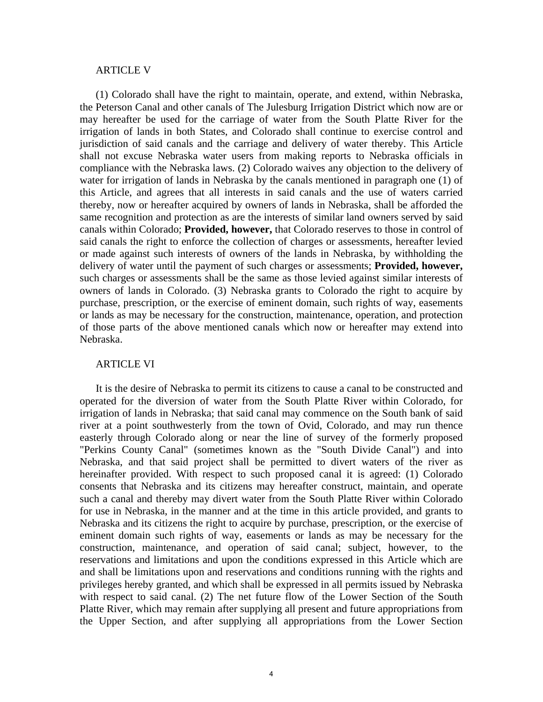#### ARTICLE V

(1) Colorado shall have the right to maintain, operate, and extend, within Nebraska, the Peterson Canal and other canals of The Julesburg Irrigation District which now are or may hereafter be used for the carriage of water from the South Platte River for the irrigation of lands in both States, and Colorado shall continue to exercise control and jurisdiction of said canals and the carriage and delivery of water thereby. This Article shall not excuse Nebraska water users from making reports to Nebraska officials in compliance with the Nebraska laws. (2) Colorado waives any objection to the delivery of water for irrigation of lands in Nebraska by the canals mentioned in paragraph one (1) of this Article, and agrees that all interests in said canals and the use of waters carried thereby, now or hereafter acquired by owners of lands in Nebraska, shall be afforded the same recognition and protection as are the interests of similar land owners served by said canals within Colorado; **Provided, however,** that Colorado reserves to those in control of said canals the right to enforce the collection of charges or assessments, hereafter levied or made against such interests of owners of the lands in Nebraska, by withholding the delivery of water until the payment of such charges or assessments; **Provided, however,** such charges or assessments shall be the same as those levied against similar interests of owners of lands in Colorado. (3) Nebraska grants to Colorado the right to acquire by purchase, prescription, or the exercise of eminent domain, such rights of way, easements or lands as may be necessary for the construction, maintenance, operation, and protection of those parts of the above mentioned canals which now or hereafter may extend into Nebraska.

#### ARTICLE VI

It is the desire of Nebraska to permit its citizens to cause a canal to be constructed and operated for the diversion of water from the South Platte River within Colorado, for irrigation of lands in Nebraska; that said canal may commence on the South bank of said river at a point southwesterly from the town of Ovid, Colorado, and may run thence easterly through Colorado along or near the line of survey of the formerly proposed "Perkins County Canal" (sometimes known as the "South Divide Canal") and into Nebraska, and that said project shall be permitted to divert waters of the river as hereinafter provided. With respect to such proposed canal it is agreed: (1) Colorado consents that Nebraska and its citizens may hereafter construct, maintain, and operate such a canal and thereby may divert water from the South Platte River within Colorado for use in Nebraska, in the manner and at the time in this article provided, and grants to Nebraska and its citizens the right to acquire by purchase, prescription, or the exercise of eminent domain such rights of way, easements or lands as may be necessary for the construction, maintenance, and operation of said canal; subject, however, to the reservations and limitations and upon the conditions expressed in this Article which are and shall be limitations upon and reservations and conditions running with the rights and privileges hereby granted, and which shall be expressed in all permits issued by Nebraska with respect to said canal. (2) The net future flow of the Lower Section of the South Platte River, which may remain after supplying all present and future appropriations from the Upper Section, and after supplying all appropriations from the Lower Section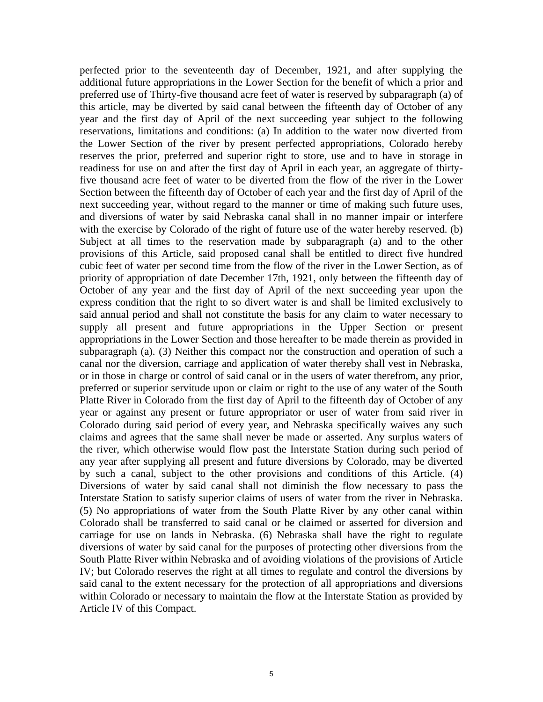perfected prior to the seventeenth day of December, 1921, and after supplying the additional future appropriations in the Lower Section for the benefit of which a prior and preferred use of Thirty-five thousand acre feet of water is reserved by subparagraph (a) of this article, may be diverted by said canal between the fifteenth day of October of any year and the first day of April of the next succeeding year subject to the following reservations, limitations and conditions: (a) In addition to the water now diverted from the Lower Section of the river by present perfected appropriations, Colorado hereby reserves the prior, preferred and superior right to store, use and to have in storage in readiness for use on and after the first day of April in each year, an aggregate of thirtyfive thousand acre feet of water to be diverted from the flow of the river in the Lower Section between the fifteenth day of October of each year and the first day of April of the next succeeding year, without regard to the manner or time of making such future uses, and diversions of water by said Nebraska canal shall in no manner impair or interfere with the exercise by Colorado of the right of future use of the water hereby reserved. (b) Subject at all times to the reservation made by subparagraph (a) and to the other provisions of this Article, said proposed canal shall be entitled to direct five hundred cubic feet of water per second time from the flow of the river in the Lower Section, as of priority of appropriation of date December 17th, 1921, only between the fifteenth day of October of any year and the first day of April of the next succeeding year upon the express condition that the right to so divert water is and shall be limited exclusively to said annual period and shall not constitute the basis for any claim to water necessary to supply all present and future appropriations in the Upper Section or present appropriations in the Lower Section and those hereafter to be made therein as provided in subparagraph (a). (3) Neither this compact nor the construction and operation of such a canal nor the diversion, carriage and application of water thereby shall vest in Nebraska, or in those in charge or control of said canal or in the users of water therefrom, any prior, preferred or superior servitude upon or claim or right to the use of any water of the South Platte River in Colorado from the first day of April to the fifteenth day of October of any year or against any present or future appropriator or user of water from said river in Colorado during said period of every year, and Nebraska specifically waives any such claims and agrees that the same shall never be made or asserted. Any surplus waters of the river, which otherwise would flow past the Interstate Station during such period of any year after supplying all present and future diversions by Colorado, may be diverted by such a canal, subject to the other provisions and conditions of this Article. (4) Diversions of water by said canal shall not diminish the flow necessary to pass the Interstate Station to satisfy superior claims of users of water from the river in Nebraska. (5) No appropriations of water from the South Platte River by any other canal within Colorado shall be transferred to said canal or be claimed or asserted for diversion and carriage for use on lands in Nebraska. (6) Nebraska shall have the right to regulate diversions of water by said canal for the purposes of protecting other diversions from the South Platte River within Nebraska and of avoiding violations of the provisions of Article IV; but Colorado reserves the right at all times to regulate and control the diversions by said canal to the extent necessary for the protection of all appropriations and diversions within Colorado or necessary to maintain the flow at the Interstate Station as provided by Article IV of this Compact.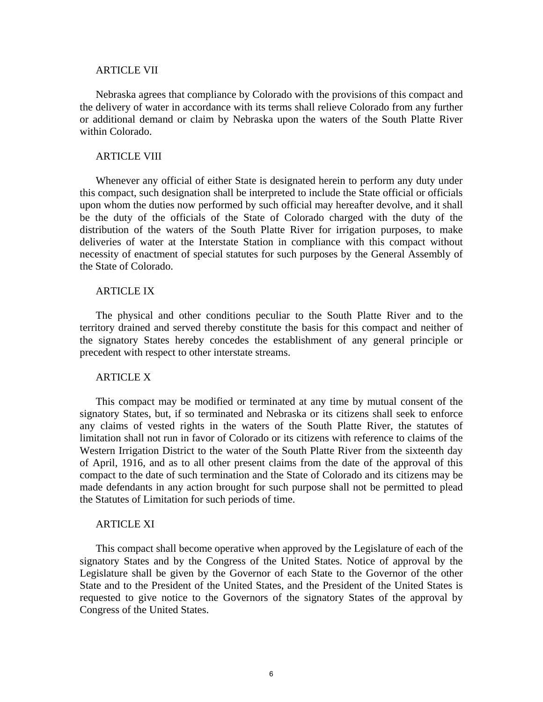#### ARTICLE VII

Nebraska agrees that compliance by Colorado with the provisions of this compact and the delivery of water in accordance with its terms shall relieve Colorado from any further or additional demand or claim by Nebraska upon the waters of the South Platte River within Colorado.

#### ARTICLE VIII

Whenever any official of either State is designated herein to perform any duty under this compact, such designation shall be interpreted to include the State official or officials upon whom the duties now performed by such official may hereafter devolve, and it shall be the duty of the officials of the State of Colorado charged with the duty of the distribution of the waters of the South Platte River for irrigation purposes, to make deliveries of water at the Interstate Station in compliance with this compact without necessity of enactment of special statutes for such purposes by the General Assembly of the State of Colorado.

#### ARTICLE IX

The physical and other conditions peculiar to the South Platte River and to the territory drained and served thereby constitute the basis for this compact and neither of the signatory States hereby concedes the establishment of any general principle or precedent with respect to other interstate streams.

#### ARTICLE X

This compact may be modified or terminated at any time by mutual consent of the signatory States, but, if so terminated and Nebraska or its citizens shall seek to enforce any claims of vested rights in the waters of the South Platte River, the statutes of limitation shall not run in favor of Colorado or its citizens with reference to claims of the Western Irrigation District to the water of the South Platte River from the sixteenth day of April, 1916, and as to all other present claims from the date of the approval of this compact to the date of such termination and the State of Colorado and its citizens may be made defendants in any action brought for such purpose shall not be permitted to plead the Statutes of Limitation for such periods of time.

#### ARTICLE XI

This compact shall become operative when approved by the Legislature of each of the signatory States and by the Congress of the United States. Notice of approval by the Legislature shall be given by the Governor of each State to the Governor of the other State and to the President of the United States, and the President of the United States is requested to give notice to the Governors of the signatory States of the approval by Congress of the United States.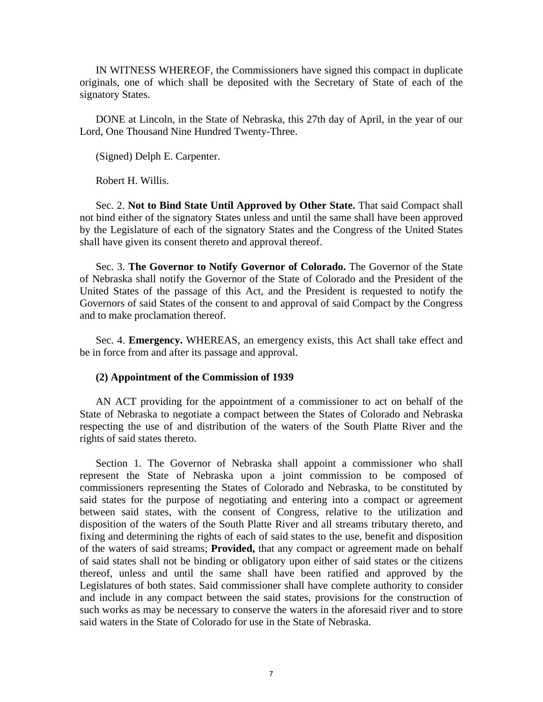IN WITNESS WHEREOF, the Commissioners have signed this compact in duplicate originals, one of which shall be deposited with the Secretary of State of each of the signatory States.

DONE at Lincoln, in the State of Nebraska, this 27th day of April, in the year of our Lord, One Thousand Nine Hundred Twenty-Three.

(Signed) Delph E. Carpenter.

Robert H. Willis.

Sec. 2. **Not to Bind State Until Approved by Other State.** That said Compact shall not bind either of the signatory States unless and until the same shall have been approved by the Legislature of each of the signatory States and the Congress of the United States shall have given its consent thereto and approval thereof.

Sec. 3. **The Governor to Notify Governor of Colorado.** The Governor of the State of Nebraska shall notify the Governor of the State of Colorado and the President of the United States of the passage of this Act, and the President is requested to notify the Governors of said States of the consent to and approval of said Compact by the Congress and to make proclamation thereof.

Sec. 4. **Emergency.** WHEREAS, an emergency exists, this Act shall take effect and be in force from and after its passage and approval.

#### **(2) Appointment of the Commission of 1939**

AN ACT providing for the appointment of a commissioner to act on behalf of the State of Nebraska to negotiate a compact between the States of Colorado and Nebraska respecting the use of and distribution of the waters of the South Platte River and the rights of said states thereto.

Section 1. The Governor of Nebraska shall appoint a commissioner who shall represent the State of Nebraska upon a joint commission to be composed of commissioners representing the States of Colorado and Nebraska, to be constituted by said states for the purpose of negotiating and entering into a compact or agreement between said states, with the consent of Congress, relative to the utilization and disposition of the waters of the South Platte River and all streams tributary thereto, and fixing and determining the rights of each of said states to the use, benefit and disposition of the waters of said streams; **Provided,** that any compact or agreement made on behalf of said states shall not be binding or obligatory upon either of said states or the citizens thereof, unless and until the same shall have been ratified and approved by the Legislatures of both states. Said commissioner shall have complete authority to consider and include in any compact between the said states, provisions for the construction of such works as may be necessary to conserve the waters in the aforesaid river and to store said waters in the State of Colorado for use in the State of Nebraska.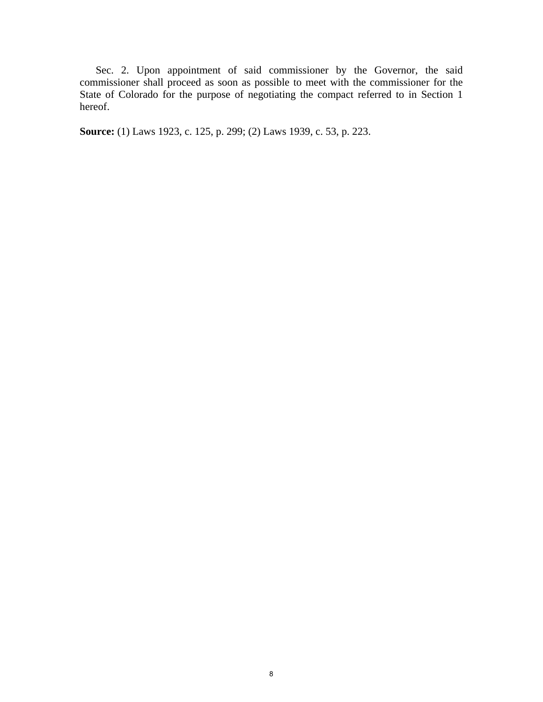Sec. 2. Upon appointment of said commissioner by the Governor, the said commissioner shall proceed as soon as possible to meet with the commissioner for the State of Colorado for the purpose of negotiating the compact referred to in Section 1 hereof.

**Source:** (1) Laws 1923, c. 125, p. 299; (2) Laws 1939, c. 53, p. 223.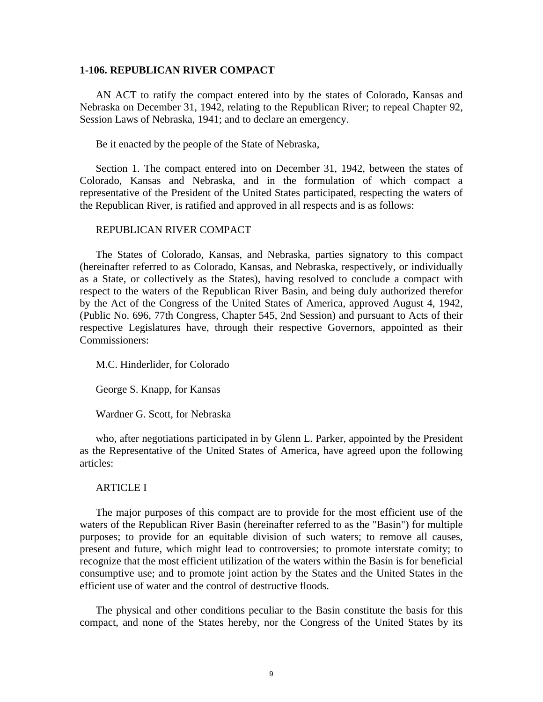#### <span id="page-10-0"></span>**1-106. REPUBLICAN RIVER COMPACT**

AN ACT to ratify the compact entered into by the states of Colorado, Kansas and Nebraska on December 31, 1942, relating to the Republican River; to repeal Chapter 92, Session Laws of Nebraska, 1941; and to declare an emergency.

Be it enacted by the people of the State of Nebraska,

Section 1. The compact entered into on December 31, 1942, between the states of Colorado, Kansas and Nebraska, and in the formulation of which compact a representative of the President of the United States participated, respecting the waters of the Republican River, is ratified and approved in all respects and is as follows:

#### REPUBLICAN RIVER COMPACT

The States of Colorado, Kansas, and Nebraska, parties signatory to this compact (hereinafter referred to as Colorado, Kansas, and Nebraska, respectively, or individually as a State, or collectively as the States), having resolved to conclude a compact with respect to the waters of the Republican River Basin, and being duly authorized therefor by the Act of the Congress of the United States of America, approved August 4, 1942, (Public No. 696, 77th Congress, Chapter 545, 2nd Session) and pursuant to Acts of their respective Legislatures have, through their respective Governors, appointed as their Commissioners:

M.C. Hinderlider, for Colorado

George S. Knapp, for Kansas

Wardner G. Scott, for Nebraska

who, after negotiations participated in by Glenn L. Parker, appointed by the President as the Representative of the United States of America, have agreed upon the following articles:

## ARTICLE I

The major purposes of this compact are to provide for the most efficient use of the waters of the Republican River Basin (hereinafter referred to as the "Basin") for multiple purposes; to provide for an equitable division of such waters; to remove all causes, present and future, which might lead to controversies; to promote interstate comity; to recognize that the most efficient utilization of the waters within the Basin is for beneficial consumptive use; and to promote joint action by the States and the United States in the efficient use of water and the control of destructive floods.

The physical and other conditions peculiar to the Basin constitute the basis for this compact, and none of the States hereby, nor the Congress of the United States by its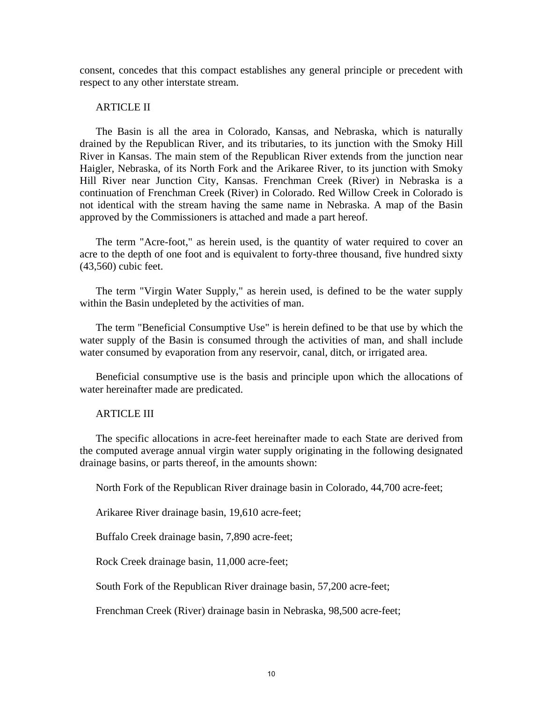consent, concedes that this compact establishes any general principle or precedent with respect to any other interstate stream.

## ARTICLE II

The Basin is all the area in Colorado, Kansas, and Nebraska, which is naturally drained by the Republican River, and its tributaries, to its junction with the Smoky Hill River in Kansas. The main stem of the Republican River extends from the junction near Haigler, Nebraska, of its North Fork and the Arikaree River, to its junction with Smoky Hill River near Junction City, Kansas. Frenchman Creek (River) in Nebraska is a continuation of Frenchman Creek (River) in Colorado. Red Willow Creek in Colorado is not identical with the stream having the same name in Nebraska. A map of the Basin approved by the Commissioners is attached and made a part hereof.

The term "Acre-foot," as herein used, is the quantity of water required to cover an acre to the depth of one foot and is equivalent to forty-three thousand, five hundred sixty (43,560) cubic feet.

The term "Virgin Water Supply," as herein used, is defined to be the water supply within the Basin undepleted by the activities of man.

The term "Beneficial Consumptive Use" is herein defined to be that use by which the water supply of the Basin is consumed through the activities of man, and shall include water consumed by evaporation from any reservoir, canal, ditch, or irrigated area.

Beneficial consumptive use is the basis and principle upon which the allocations of water hereinafter made are predicated.

### ARTICLE III

The specific allocations in acre-feet hereinafter made to each State are derived from the computed average annual virgin water supply originating in the following designated drainage basins, or parts thereof, in the amounts shown:

North Fork of the Republican River drainage basin in Colorado, 44,700 acre-feet;

Arikaree River drainage basin, 19,610 acre-feet;

Buffalo Creek drainage basin, 7,890 acre-feet;

Rock Creek drainage basin, 11,000 acre-feet;

South Fork of the Republican River drainage basin, 57,200 acre-feet;

Frenchman Creek (River) drainage basin in Nebraska, 98,500 acre-feet;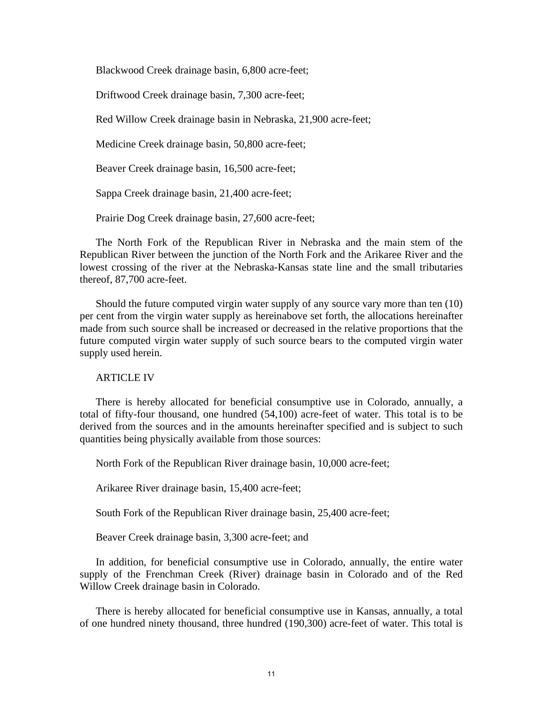Blackwood Creek drainage basin, 6,800 acre-feet;

Driftwood Creek drainage basin, 7,300 acre-feet;

Red Willow Creek drainage basin in Nebraska, 21,900 acre-feet;

Medicine Creek drainage basin, 50,800 acre-feet;

Beaver Creek drainage basin, 16,500 acre-feet;

Sappa Creek drainage basin, 21,400 acre-feet;

Prairie Dog Creek drainage basin, 27,600 acre-feet;

The North Fork of the Republican River in Nebraska and the main stem of the Republican River between the junction of the North Fork and the Arikaree River and the lowest crossing of the river at the Nebraska-Kansas state line and the small tributaries thereof, 87,700 acre-feet.

Should the future computed virgin water supply of any source vary more than ten (10) per cent from the virgin water supply as hereinabove set forth, the allocations hereinafter made from such source shall be increased or decreased in the relative proportions that the future computed virgin water supply of such source bears to the computed virgin water supply used herein.

#### ARTICLE IV

There is hereby allocated for beneficial consumptive use in Colorado, annually, a total of fifty-four thousand, one hundred (54,100) acre-feet of water. This total is to be derived from the sources and in the amounts hereinafter specified and is subject to such quantities being physically available from those sources:

North Fork of the Republican River drainage basin, 10,000 acre-feet;

Arikaree River drainage basin, 15,400 acre-feet;

South Fork of the Republican River drainage basin, 25,400 acre-feet;

Beaver Creek drainage basin, 3,300 acre-feet; and

In addition, for beneficial consumptive use in Colorado, annually, the entire water supply of the Frenchman Creek (River) drainage basin in Colorado and of the Red Willow Creek drainage basin in Colorado.

There is hereby allocated for beneficial consumptive use in Kansas, annually, a total of one hundred ninety thousand, three hundred (190,300) acre-feet of water. This total is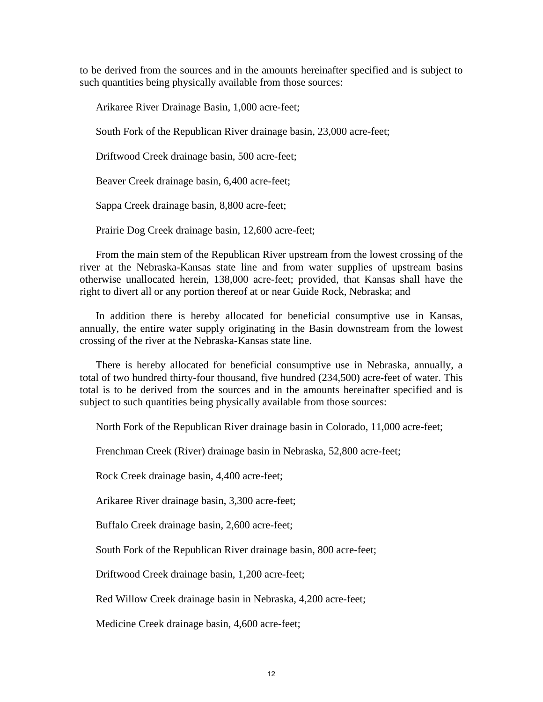to be derived from the sources and in the amounts hereinafter specified and is subject to such quantities being physically available from those sources:

Arikaree River Drainage Basin, 1,000 acre-feet;

South Fork of the Republican River drainage basin, 23,000 acre-feet;

Driftwood Creek drainage basin, 500 acre-feet;

Beaver Creek drainage basin, 6,400 acre-feet;

Sappa Creek drainage basin, 8,800 acre-feet;

Prairie Dog Creek drainage basin, 12,600 acre-feet;

From the main stem of the Republican River upstream from the lowest crossing of the river at the Nebraska-Kansas state line and from water supplies of upstream basins otherwise unallocated herein, 138,000 acre-feet; provided, that Kansas shall have the right to divert all or any portion thereof at or near Guide Rock, Nebraska; and

In addition there is hereby allocated for beneficial consumptive use in Kansas, annually, the entire water supply originating in the Basin downstream from the lowest crossing of the river at the Nebraska-Kansas state line.

There is hereby allocated for beneficial consumptive use in Nebraska, annually, a total of two hundred thirty-four thousand, five hundred (234,500) acre-feet of water. This total is to be derived from the sources and in the amounts hereinafter specified and is subject to such quantities being physically available from those sources:

North Fork of the Republican River drainage basin in Colorado, 11,000 acre-feet;

Frenchman Creek (River) drainage basin in Nebraska, 52,800 acre-feet;

Rock Creek drainage basin, 4,400 acre-feet;

Arikaree River drainage basin, 3,300 acre-feet;

Buffalo Creek drainage basin, 2,600 acre-feet;

South Fork of the Republican River drainage basin, 800 acre-feet;

Driftwood Creek drainage basin, 1,200 acre-feet;

Red Willow Creek drainage basin in Nebraska, 4,200 acre-feet;

Medicine Creek drainage basin, 4,600 acre-feet;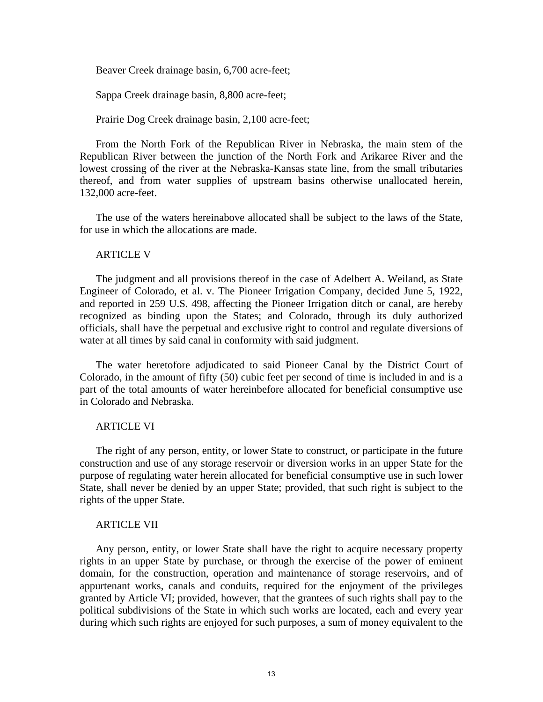Beaver Creek drainage basin, 6,700 acre-feet;

Sappa Creek drainage basin, 8,800 acre-feet;

Prairie Dog Creek drainage basin, 2,100 acre-feet;

From the North Fork of the Republican River in Nebraska, the main stem of the Republican River between the junction of the North Fork and Arikaree River and the lowest crossing of the river at the Nebraska-Kansas state line, from the small tributaries thereof, and from water supplies of upstream basins otherwise unallocated herein, 132,000 acre-feet.

The use of the waters hereinabove allocated shall be subject to the laws of the State, for use in which the allocations are made.

## ARTICLE V

The judgment and all provisions thereof in the case of Adelbert A. Weiland, as State Engineer of Colorado, et al. v. The Pioneer Irrigation Company, decided June 5, 1922, and reported in 259 U.S. 498, affecting the Pioneer Irrigation ditch or canal, are hereby recognized as binding upon the States; and Colorado, through its duly authorized officials, shall have the perpetual and exclusive right to control and regulate diversions of water at all times by said canal in conformity with said judgment.

The water heretofore adjudicated to said Pioneer Canal by the District Court of Colorado, in the amount of fifty (50) cubic feet per second of time is included in and is a part of the total amounts of water hereinbefore allocated for beneficial consumptive use in Colorado and Nebraska.

## **ARTICLE VI**

The right of any person, entity, or lower State to construct, or participate in the future construction and use of any storage reservoir or diversion works in an upper State for the purpose of regulating water herein allocated for beneficial consumptive use in such lower State, shall never be denied by an upper State; provided, that such right is subject to the rights of the upper State.

### ARTICLE VII

Any person, entity, or lower State shall have the right to acquire necessary property rights in an upper State by purchase, or through the exercise of the power of eminent domain, for the construction, operation and maintenance of storage reservoirs, and of appurtenant works, canals and conduits, required for the enjoyment of the privileges granted by Article VI; provided, however, that the grantees of such rights shall pay to the political subdivisions of the State in which such works are located, each and every year during which such rights are enjoyed for such purposes, a sum of money equivalent to the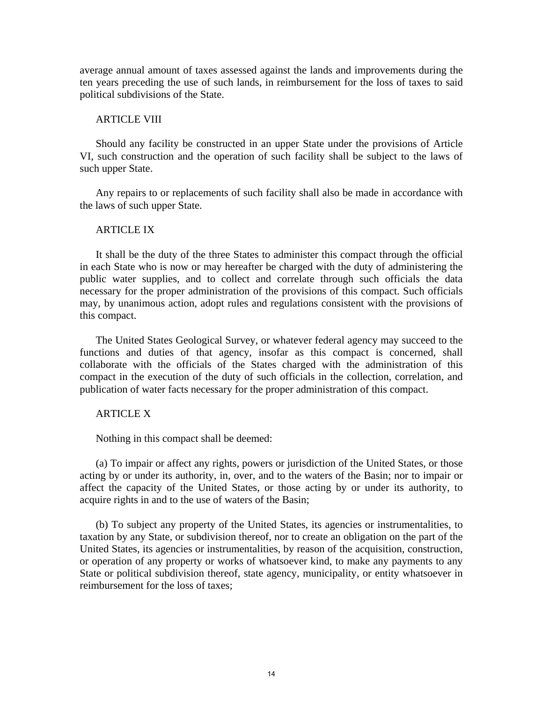average annual amount of taxes assessed against the lands and improvements during the ten years preceding the use of such lands, in reimbursement for the loss of taxes to said political subdivisions of the State.

#### ARTICLE VIII

Should any facility be constructed in an upper State under the provisions of Article VI, such construction and the operation of such facility shall be subject to the laws of such upper State.

Any repairs to or replacements of such facility shall also be made in accordance with the laws of such upper State.

### ARTICLE IX

It shall be the duty of the three States to administer this compact through the official in each State who is now or may hereafter be charged with the duty of administering the public water supplies, and to collect and correlate through such officials the data necessary for the proper administration of the provisions of this compact. Such officials may, by unanimous action, adopt rules and regulations consistent with the provisions of this compact.

The United States Geological Survey, or whatever federal agency may succeed to the functions and duties of that agency, insofar as this compact is concerned, shall collaborate with the officials of the States charged with the administration of this compact in the execution of the duty of such officials in the collection, correlation, and publication of water facts necessary for the proper administration of this compact.

## ARTICLE X

Nothing in this compact shall be deemed:

(a) To impair or affect any rights, powers or jurisdiction of the United States, or those acting by or under its authority, in, over, and to the waters of the Basin; nor to impair or affect the capacity of the United States, or those acting by or under its authority, to acquire rights in and to the use of waters of the Basin;

(b) To subject any property of the United States, its agencies or instrumentalities, to taxation by any State, or subdivision thereof, nor to create an obligation on the part of the United States, its agencies or instrumentalities, by reason of the acquisition, construction, or operation of any property or works of whatsoever kind, to make any payments to any State or political subdivision thereof, state agency, municipality, or entity whatsoever in reimbursement for the loss of taxes;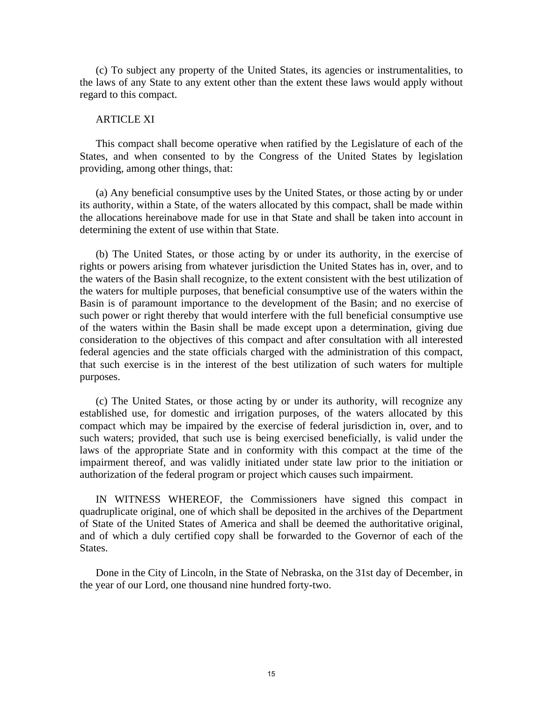(c) To subject any property of the United States, its agencies or instrumentalities, to the laws of any State to any extent other than the extent these laws would apply without regard to this compact.

#### ARTICLE XI

This compact shall become operative when ratified by the Legislature of each of the States, and when consented to by the Congress of the United States by legislation providing, among other things, that:

(a) Any beneficial consumptive uses by the United States, or those acting by or under its authority, within a State, of the waters allocated by this compact, shall be made within the allocations hereinabove made for use in that State and shall be taken into account in determining the extent of use within that State.

(b) The United States, or those acting by or under its authority, in the exercise of rights or powers arising from whatever jurisdiction the United States has in, over, and to the waters of the Basin shall recognize, to the extent consistent with the best utilization of the waters for multiple purposes, that beneficial consumptive use of the waters within the Basin is of paramount importance to the development of the Basin; and no exercise of such power or right thereby that would interfere with the full beneficial consumptive use of the waters within the Basin shall be made except upon a determination, giving due consideration to the objectives of this compact and after consultation with all interested federal agencies and the state officials charged with the administration of this compact, that such exercise is in the interest of the best utilization of such waters for multiple purposes.

(c) The United States, or those acting by or under its authority, will recognize any established use, for domestic and irrigation purposes, of the waters allocated by this compact which may be impaired by the exercise of federal jurisdiction in, over, and to such waters; provided, that such use is being exercised beneficially, is valid under the laws of the appropriate State and in conformity with this compact at the time of the impairment thereof, and was validly initiated under state law prior to the initiation or authorization of the federal program or project which causes such impairment.

IN WITNESS WHEREOF, the Commissioners have signed this compact in quadruplicate original, one of which shall be deposited in the archives of the Department of State of the United States of America and shall be deemed the authoritative original, and of which a duly certified copy shall be forwarded to the Governor of each of the States.

Done in the City of Lincoln, in the State of Nebraska, on the 31st day of December, in the year of our Lord, one thousand nine hundred forty-two.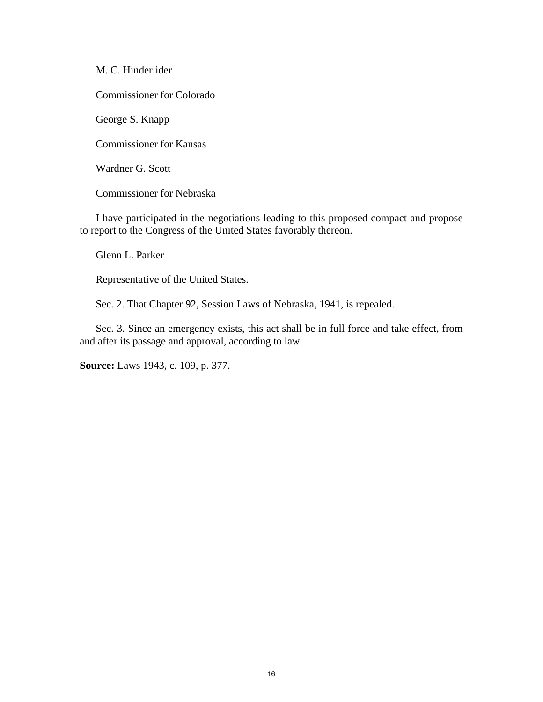M. C. Hinderlider

Commissioner for Colorado

George S. Knapp

Commissioner for Kansas

Wardner G. Scott

Commissioner for Nebraska

I have participated in the negotiations leading to this proposed compact and propose to report to the Congress of the United States favorably thereon.

Glenn L. Parker

Representative of the United States.

Sec. 2. That Chapter 92, Session Laws of Nebraska, 1941, is repealed.

Sec. 3. Since an emergency exists, this act shall be in full force and take effect, from and after its passage and approval, according to law.

**Source:** Laws 1943, c. 109, p. 377.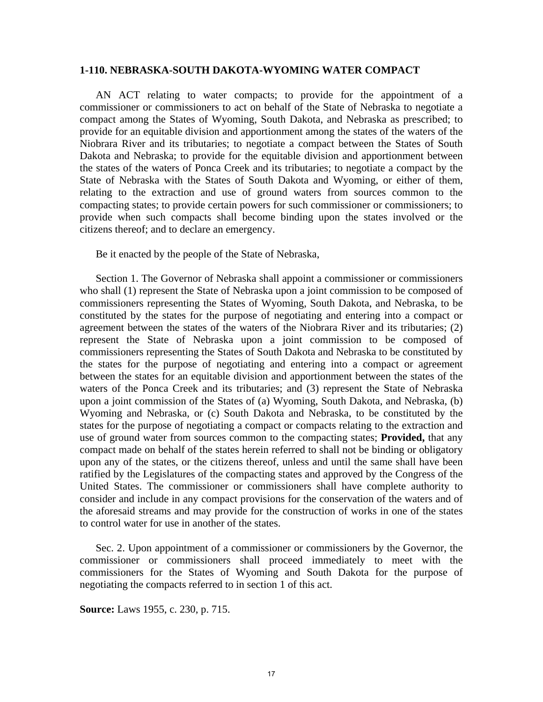#### <span id="page-18-0"></span>**1-110. NEBRASKA-SOUTH DAKOTA-WYOMING WATER COMPACT**

AN ACT relating to water compacts; to provide for the appointment of a commissioner or commissioners to act on behalf of the State of Nebraska to negotiate a compact among the States of Wyoming, South Dakota, and Nebraska as prescribed; to provide for an equitable division and apportionment among the states of the waters of the Niobrara River and its tributaries; to negotiate a compact between the States of South Dakota and Nebraska; to provide for the equitable division and apportionment between the states of the waters of Ponca Creek and its tributaries; to negotiate a compact by the State of Nebraska with the States of South Dakota and Wyoming, or either of them, relating to the extraction and use of ground waters from sources common to the compacting states; to provide certain powers for such commissioner or commissioners; to provide when such compacts shall become binding upon the states involved or the citizens thereof; and to declare an emergency.

Be it enacted by the people of the State of Nebraska,

Section 1. The Governor of Nebraska shall appoint a commissioner or commissioners who shall (1) represent the State of Nebraska upon a joint commission to be composed of commissioners representing the States of Wyoming, South Dakota, and Nebraska, to be constituted by the states for the purpose of negotiating and entering into a compact or agreement between the states of the waters of the Niobrara River and its tributaries; (2) represent the State of Nebraska upon a joint commission to be composed of commissioners representing the States of South Dakota and Nebraska to be constituted by the states for the purpose of negotiating and entering into a compact or agreement between the states for an equitable division and apportionment between the states of the waters of the Ponca Creek and its tributaries; and (3) represent the State of Nebraska upon a joint commission of the States of (a) Wyoming, South Dakota, and Nebraska, (b) Wyoming and Nebraska, or (c) South Dakota and Nebraska, to be constituted by the states for the purpose of negotiating a compact or compacts relating to the extraction and use of ground water from sources common to the compacting states; **Provided,** that any compact made on behalf of the states herein referred to shall not be binding or obligatory upon any of the states, or the citizens thereof, unless and until the same shall have been ratified by the Legislatures of the compacting states and approved by the Congress of the United States. The commissioner or commissioners shall have complete authority to consider and include in any compact provisions for the conservation of the waters and of the aforesaid streams and may provide for the construction of works in one of the states to control water for use in another of the states.

Sec. 2. Upon appointment of a commissioner or commissioners by the Governor, the commissioner or commissioners shall proceed immediately to meet with the commissioners for the States of Wyoming and South Dakota for the purpose of negotiating the compacts referred to in section 1 of this act.

**Source:** Laws 1955, c. 230, p. 715.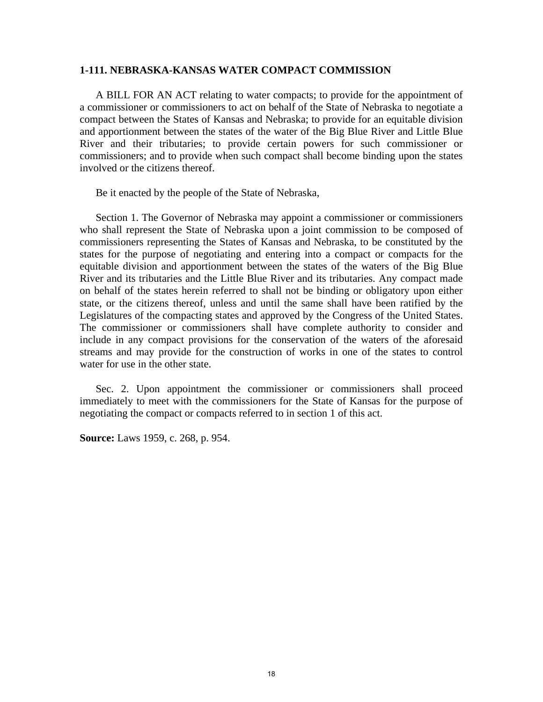#### <span id="page-19-0"></span>**1-111. NEBRASKA-KANSAS WATER COMPACT COMMISSION**

A BILL FOR AN ACT relating to water compacts; to provide for the appointment of a commissioner or commissioners to act on behalf of the State of Nebraska to negotiate a compact between the States of Kansas and Nebraska; to provide for an equitable division and apportionment between the states of the water of the Big Blue River and Little Blue River and their tributaries; to provide certain powers for such commissioner or commissioners; and to provide when such compact shall become binding upon the states involved or the citizens thereof.

Be it enacted by the people of the State of Nebraska,

Section 1. The Governor of Nebraska may appoint a commissioner or commissioners who shall represent the State of Nebraska upon a joint commission to be composed of commissioners representing the States of Kansas and Nebraska, to be constituted by the states for the purpose of negotiating and entering into a compact or compacts for the equitable division and apportionment between the states of the waters of the Big Blue River and its tributaries and the Little Blue River and its tributaries. Any compact made on behalf of the states herein referred to shall not be binding or obligatory upon either state, or the citizens thereof, unless and until the same shall have been ratified by the Legislatures of the compacting states and approved by the Congress of the United States. The commissioner or commissioners shall have complete authority to consider and include in any compact provisions for the conservation of the waters of the aforesaid streams and may provide for the construction of works in one of the states to control water for use in the other state.

Sec. 2. Upon appointment the commissioner or commissioners shall proceed immediately to meet with the commissioners for the State of Kansas for the purpose of negotiating the compact or compacts referred to in section 1 of this act.

**Source:** Laws 1959, c. 268, p. 954.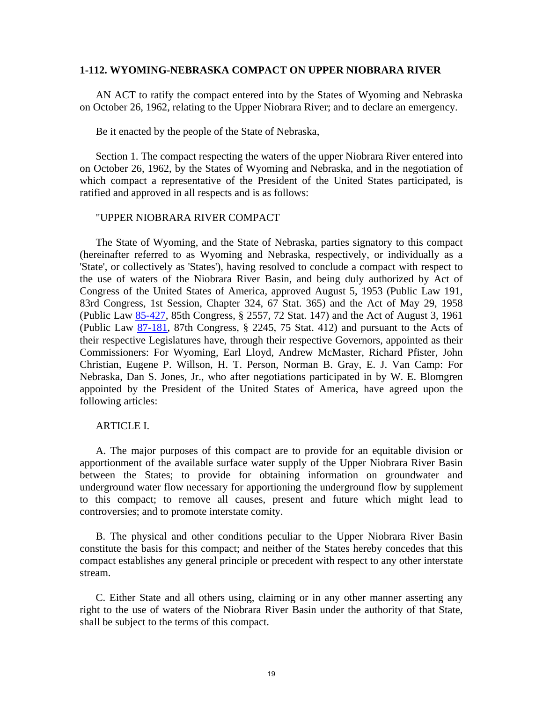### <span id="page-20-0"></span>**1-112. WYOMING-NEBRASKA COMPACT ON UPPER NIOBRARA RIVER**

AN ACT to ratify the compact entered into by the States of Wyoming and Nebraska on October 26, 1962, relating to the Upper Niobrara River; and to declare an emergency.

Be it enacted by the people of the State of Nebraska,

Section 1. The compact respecting the waters of the upper Niobrara River entered into on October 26, 1962, by the States of Wyoming and Nebraska, and in the negotiation of which compact a representative of the President of the United States participated, is ratified and approved in all respects and is as follows:

#### "UPPER NIOBRARA RIVER COMPACT

The State of Wyoming, and the State of Nebraska, parties signatory to this compact (hereinafter referred to as Wyoming and Nebraska, respectively, or individually as a 'State', or collectively as 'States'), having resolved to conclude a compact with respect to the use of waters of the Niobrara River Basin, and being duly authorized by Act of Congress of the United States of America, approved August 5, 1953 (Public Law 191, 83rd Congress, 1st Session, Chapter 324, 67 Stat. 365) and the Act of May 29, 1958 (Public Law [85-427,](http://nebraskalegislature.gov/laws/statutes.php?statute=85-427) 85th Congress, § 2557, 72 Stat. 147) and the Act of August 3, 1961 (Public Law [87-181,](http://nebraskalegislature.gov/laws/statutes.php?statute=87-181) 87th Congress, § 2245, 75 Stat. 412) and pursuant to the Acts of their respective Legislatures have, through their respective Governors, appointed as their Commissioners: For Wyoming, Earl Lloyd, Andrew McMaster, Richard Pfister, John Christian, Eugene P. Willson, H. T. Person, Norman B. Gray, E. J. Van Camp: For Nebraska, Dan S. Jones, Jr., who after negotiations participated in by W. E. Blomgren appointed by the President of the United States of America, have agreed upon the following articles:

## ARTICLE I.

A. The major purposes of this compact are to provide for an equitable division or apportionment of the available surface water supply of the Upper Niobrara River Basin between the States; to provide for obtaining information on groundwater and underground water flow necessary for apportioning the underground flow by supplement to this compact; to remove all causes, present and future which might lead to controversies; and to promote interstate comity.

B. The physical and other conditions peculiar to the Upper Niobrara River Basin constitute the basis for this compact; and neither of the States hereby concedes that this compact establishes any general principle or precedent with respect to any other interstate stream.

C. Either State and all others using, claiming or in any other manner asserting any right to the use of waters of the Niobrara River Basin under the authority of that State, shall be subject to the terms of this compact.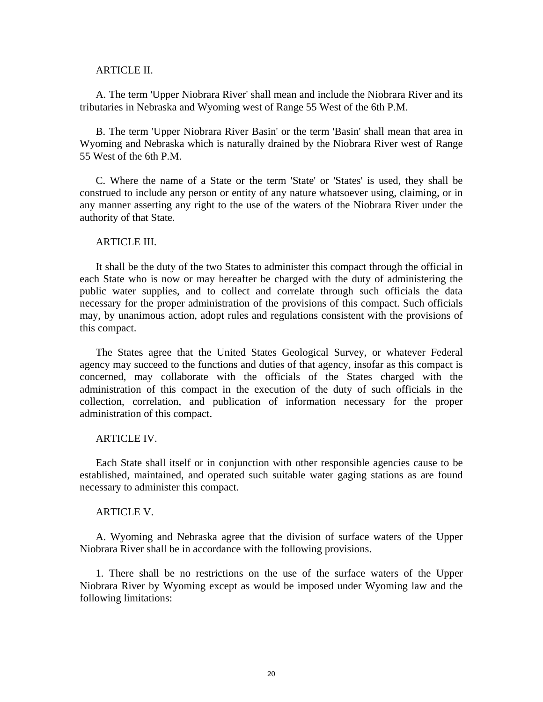#### ARTICLE II.

A. The term 'Upper Niobrara River' shall mean and include the Niobrara River and its tributaries in Nebraska and Wyoming west of Range 55 West of the 6th P.M.

B. The term 'Upper Niobrara River Basin' or the term 'Basin' shall mean that area in Wyoming and Nebraska which is naturally drained by the Niobrara River west of Range 55 West of the 6th P.M.

C. Where the name of a State or the term 'State' or 'States' is used, they shall be construed to include any person or entity of any nature whatsoever using, claiming, or in any manner asserting any right to the use of the waters of the Niobrara River under the authority of that State.

#### ARTICLE III.

It shall be the duty of the two States to administer this compact through the official in each State who is now or may hereafter be charged with the duty of administering the public water supplies, and to collect and correlate through such officials the data necessary for the proper administration of the provisions of this compact. Such officials may, by unanimous action, adopt rules and regulations consistent with the provisions of this compact.

The States agree that the United States Geological Survey, or whatever Federal agency may succeed to the functions and duties of that agency, insofar as this compact is concerned, may collaborate with the officials of the States charged with the administration of this compact in the execution of the duty of such officials in the collection, correlation, and publication of information necessary for the proper administration of this compact.

#### ARTICLE IV.

Each State shall itself or in conjunction with other responsible agencies cause to be established, maintained, and operated such suitable water gaging stations as are found necessary to administer this compact.

#### ARTICLE V.

A. Wyoming and Nebraska agree that the division of surface waters of the Upper Niobrara River shall be in accordance with the following provisions.

1. There shall be no restrictions on the use of the surface waters of the Upper Niobrara River by Wyoming except as would be imposed under Wyoming law and the following limitations: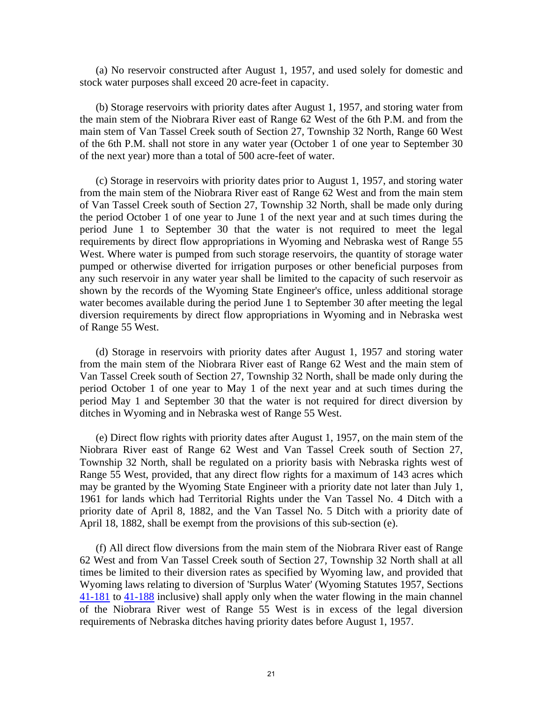(a) No reservoir constructed after August 1, 1957, and used solely for domestic and stock water purposes shall exceed 20 acre-feet in capacity.

(b) Storage reservoirs with priority dates after August 1, 1957, and storing water from the main stem of the Niobrara River east of Range 62 West of the 6th P.M. and from the main stem of Van Tassel Creek south of Section 27, Township 32 North, Range 60 West of the 6th P.M. shall not store in any water year (October 1 of one year to September 30 of the next year) more than a total of 500 acre-feet of water.

(c) Storage in reservoirs with priority dates prior to August 1, 1957, and storing water from the main stem of the Niobrara River east of Range 62 West and from the main stem of Van Tassel Creek south of Section 27, Township 32 North, shall be made only during the period October 1 of one year to June 1 of the next year and at such times during the period June 1 to September 30 that the water is not required to meet the legal requirements by direct flow appropriations in Wyoming and Nebraska west of Range 55 West. Where water is pumped from such storage reservoirs, the quantity of storage water pumped or otherwise diverted for irrigation purposes or other beneficial purposes from any such reservoir in any water year shall be limited to the capacity of such reservoir as shown by the records of the Wyoming State Engineer's office, unless additional storage water becomes available during the period June 1 to September 30 after meeting the legal diversion requirements by direct flow appropriations in Wyoming and in Nebraska west of Range 55 West.

(d) Storage in reservoirs with priority dates after August 1, 1957 and storing water from the main stem of the Niobrara River east of Range 62 West and the main stem of Van Tassel Creek south of Section 27, Township 32 North, shall be made only during the period October 1 of one year to May 1 of the next year and at such times during the period May 1 and September 30 that the water is not required for direct diversion by ditches in Wyoming and in Nebraska west of Range 55 West.

(e) Direct flow rights with priority dates after August 1, 1957, on the main stem of the Niobrara River east of Range 62 West and Van Tassel Creek south of Section 27, Township 32 North, shall be regulated on a priority basis with Nebraska rights west of Range 55 West, provided, that any direct flow rights for a maximum of 143 acres which may be granted by the Wyoming State Engineer with a priority date not later than July 1, 1961 for lands which had Territorial Rights under the Van Tassel No. 4 Ditch with a priority date of April 8, 1882, and the Van Tassel No. 5 Ditch with a priority date of April 18, 1882, shall be exempt from the provisions of this sub-section (e).

(f) All direct flow diversions from the main stem of the Niobrara River east of Range 62 West and from Van Tassel Creek south of Section 27, Township 32 North shall at all times be limited to their diversion rates as specified by Wyoming law, and provided that Wyoming laws relating to diversion of 'Surplus Water' (Wyoming Statutes 1957, Sections [41-181](http://nebraskalegislature.gov/laws/statutes.php?statute=41-181) to [41-188](http://nebraskalegislature.gov/laws/statutes.php?statute=41-188) inclusive) shall apply only when the water flowing in the main channel of the Niobrara River west of Range 55 West is in excess of the legal diversion requirements of Nebraska ditches having priority dates before August 1, 1957.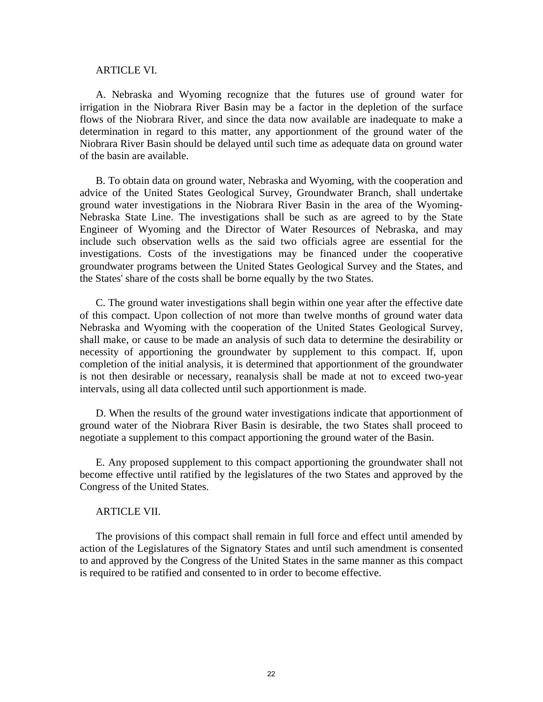#### ARTICLE VI.

A. Nebraska and Wyoming recognize that the futures use of ground water for irrigation in the Niobrara River Basin may be a factor in the depletion of the surface flows of the Niobrara River, and since the data now available are inadequate to make a determination in regard to this matter, any apportionment of the ground water of the Niobrara River Basin should be delayed until such time as adequate data on ground water of the basin are available.

B. To obtain data on ground water, Nebraska and Wyoming, with the cooperation and advice of the United States Geological Survey, Groundwater Branch, shall undertake ground water investigations in the Niobrara River Basin in the area of the Wyoming-Nebraska State Line. The investigations shall be such as are agreed to by the State Engineer of Wyoming and the Director of Water Resources of Nebraska, and may include such observation wells as the said two officials agree are essential for the investigations. Costs of the investigations may be financed under the cooperative groundwater programs between the United States Geological Survey and the States, and the States' share of the costs shall be borne equally by the two States.

C. The ground water investigations shall begin within one year after the effective date of this compact. Upon collection of not more than twelve months of ground water data Nebraska and Wyoming with the cooperation of the United States Geological Survey, shall make, or cause to be made an analysis of such data to determine the desirability or necessity of apportioning the groundwater by supplement to this compact. If, upon completion of the initial analysis, it is determined that apportionment of the groundwater is not then desirable or necessary, reanalysis shall be made at not to exceed two-year intervals, using all data collected until such apportionment is made.

D. When the results of the ground water investigations indicate that apportionment of ground water of the Niobrara River Basin is desirable, the two States shall proceed to negotiate a supplement to this compact apportioning the ground water of the Basin.

E. Any proposed supplement to this compact apportioning the groundwater shall not become effective until ratified by the legislatures of the two States and approved by the Congress of the United States.

## ARTICLE VII.

The provisions of this compact shall remain in full force and effect until amended by action of the Legislatures of the Signatory States and until such amendment is consented to and approved by the Congress of the United States in the same manner as this compact is required to be ratified and consented to in order to become effective.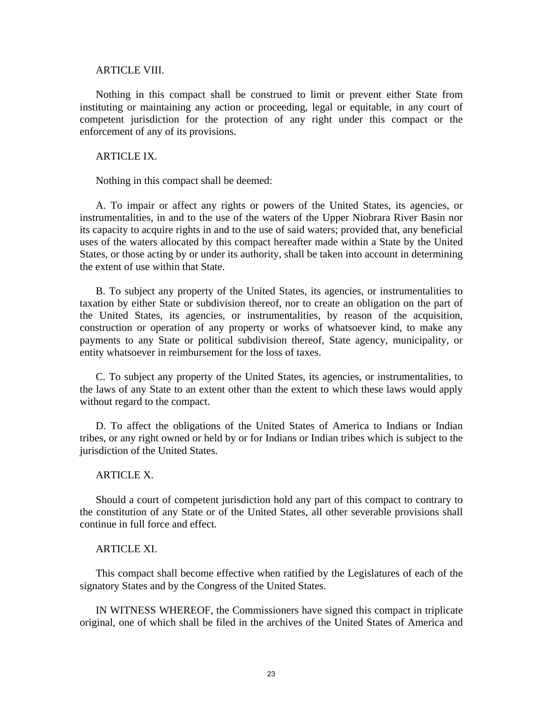#### ARTICLE VIII.

Nothing in this compact shall be construed to limit or prevent either State from instituting or maintaining any action or proceeding, legal or equitable, in any court of competent jurisdiction for the protection of any right under this compact or the enforcement of any of its provisions.

## ARTICLE IX.

Nothing in this compact shall be deemed:

A. To impair or affect any rights or powers of the United States, its agencies, or instrumentalities, in and to the use of the waters of the Upper Niobrara River Basin nor its capacity to acquire rights in and to the use of said waters; provided that, any beneficial uses of the waters allocated by this compact hereafter made within a State by the United States, or those acting by or under its authority, shall be taken into account in determining the extent of use within that State.

B. To subject any property of the United States, its agencies, or instrumentalities to taxation by either State or subdivision thereof, nor to create an obligation on the part of the United States, its agencies, or instrumentalities, by reason of the acquisition, construction or operation of any property or works of whatsoever kind, to make any payments to any State or political subdivision thereof, State agency, municipality, or entity whatsoever in reimbursement for the loss of taxes.

C. To subject any property of the United States, its agencies, or instrumentalities, to the laws of any State to an extent other than the extent to which these laws would apply without regard to the compact.

D. To affect the obligations of the United States of America to Indians or Indian tribes, or any right owned or held by or for Indians or Indian tribes which is subject to the jurisdiction of the United States.

#### ARTICLE X.

Should a court of competent jurisdiction hold any part of this compact to contrary to the constitution of any State or of the United States, all other severable provisions shall continue in full force and effect.

### ARTICLE XI.

This compact shall become effective when ratified by the Legislatures of each of the signatory States and by the Congress of the United States.

IN WITNESS WHEREOF, the Commissioners have signed this compact in triplicate original, one of which shall be filed in the archives of the United States of America and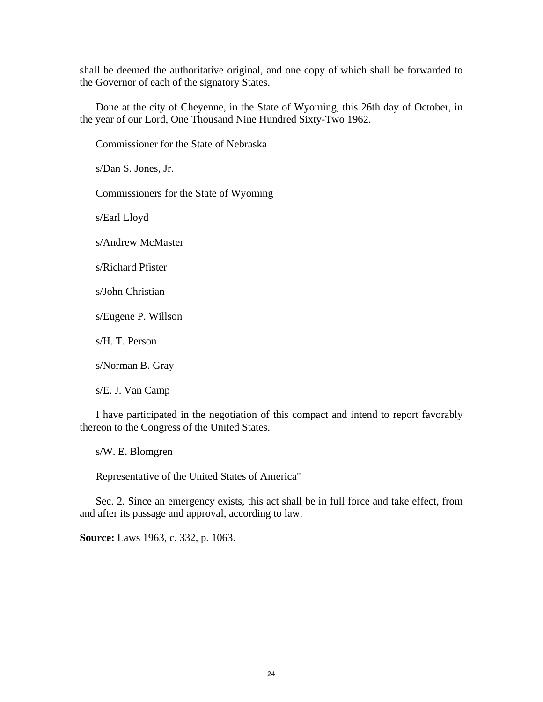shall be deemed the authoritative original, and one copy of which shall be forwarded to the Governor of each of the signatory States.

Done at the city of Cheyenne, in the State of Wyoming, this 26th day of October, in the year of our Lord, One Thousand Nine Hundred Sixty-Two 1962.

Commissioner for the State of Nebraska

s/Dan S. Jones, Jr.

Commissioners for the State of Wyoming

s/Earl Lloyd

s/Andrew McMaster

s/Richard Pfister

s/John Christian

s/Eugene P. Willson

s/H. T. Person

s/Norman B. Gray

s/E. J. Van Camp

I have participated in the negotiation of this compact and intend to report favorably thereon to the Congress of the United States.

s/W. E. Blomgren

Representative of the United States of America"

Sec. 2. Since an emergency exists, this act shall be in full force and take effect, from and after its passage and approval, according to law.

**Source:** Laws 1963, c. 332, p. 1063.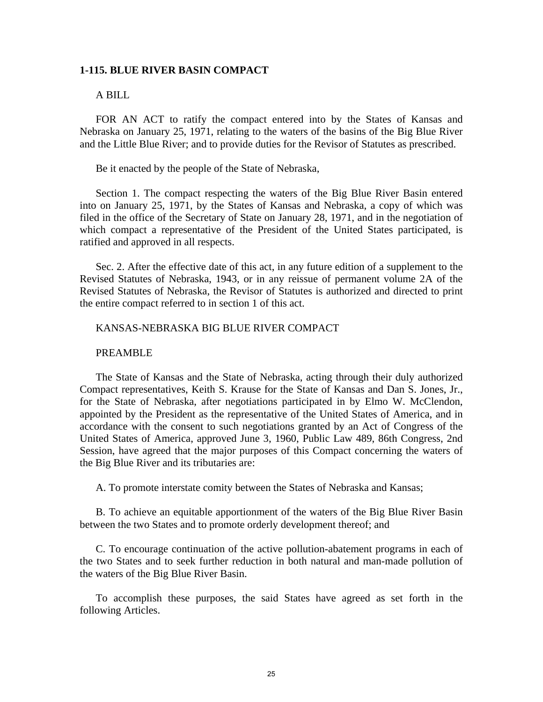### <span id="page-26-0"></span>**1-115. BLUE RIVER BASIN COMPACT**

## A BILL

FOR AN ACT to ratify the compact entered into by the States of Kansas and Nebraska on January 25, 1971, relating to the waters of the basins of the Big Blue River and the Little Blue River; and to provide duties for the Revisor of Statutes as prescribed.

Be it enacted by the people of the State of Nebraska,

Section 1. The compact respecting the waters of the Big Blue River Basin entered into on January 25, 1971, by the States of Kansas and Nebraska, a copy of which was filed in the office of the Secretary of State on January 28, 1971, and in the negotiation of which compact a representative of the President of the United States participated, is ratified and approved in all respects.

Sec. 2. After the effective date of this act, in any future edition of a supplement to the Revised Statutes of Nebraska, 1943, or in any reissue of permanent volume 2A of the Revised Statutes of Nebraska, the Revisor of Statutes is authorized and directed to print the entire compact referred to in section 1 of this act.

## KANSAS-NEBRASKA BIG BLUE RIVER COMPACT

#### PREAMBLE

The State of Kansas and the State of Nebraska, acting through their duly authorized Compact representatives, Keith S. Krause for the State of Kansas and Dan S. Jones, Jr., for the State of Nebraska, after negotiations participated in by Elmo W. McClendon, appointed by the President as the representative of the United States of America, and in accordance with the consent to such negotiations granted by an Act of Congress of the United States of America, approved June 3, 1960, Public Law 489, 86th Congress, 2nd Session, have agreed that the major purposes of this Compact concerning the waters of the Big Blue River and its tributaries are:

A. To promote interstate comity between the States of Nebraska and Kansas;

B. To achieve an equitable apportionment of the waters of the Big Blue River Basin between the two States and to promote orderly development thereof; and

C. To encourage continuation of the active pollution-abatement programs in each of the two States and to seek further reduction in both natural and man-made pollution of the waters of the Big Blue River Basin.

To accomplish these purposes, the said States have agreed as set forth in the following Articles.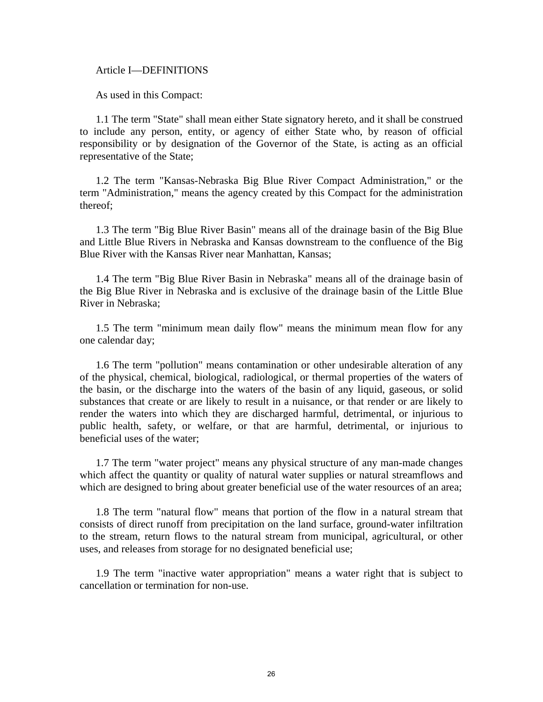Article I—DEFINITIONS

As used in this Compact:

1.1 The term "State" shall mean either State signatory hereto, and it shall be construed to include any person, entity, or agency of either State who, by reason of official responsibility or by designation of the Governor of the State, is acting as an official representative of the State;

1.2 The term "Kansas-Nebraska Big Blue River Compact Administration," or the term "Administration," means the agency created by this Compact for the administration thereof;

1.3 The term "Big Blue River Basin" means all of the drainage basin of the Big Blue and Little Blue Rivers in Nebraska and Kansas downstream to the confluence of the Big Blue River with the Kansas River near Manhattan, Kansas;

1.4 The term "Big Blue River Basin in Nebraska" means all of the drainage basin of the Big Blue River in Nebraska and is exclusive of the drainage basin of the Little Blue River in Nebraska;

1.5 The term "minimum mean daily flow" means the minimum mean flow for any one calendar day;

1.6 The term "pollution" means contamination or other undesirable alteration of any of the physical, chemical, biological, radiological, or thermal properties of the waters of the basin, or the discharge into the waters of the basin of any liquid, gaseous, or solid substances that create or are likely to result in a nuisance, or that render or are likely to render the waters into which they are discharged harmful, detrimental, or injurious to public health, safety, or welfare, or that are harmful, detrimental, or injurious to beneficial uses of the water;

1.7 The term "water project" means any physical structure of any man-made changes which affect the quantity or quality of natural water supplies or natural streamflows and which are designed to bring about greater beneficial use of the water resources of an area;

1.8 The term "natural flow" means that portion of the flow in a natural stream that consists of direct runoff from precipitation on the land surface, ground-water infiltration to the stream, return flows to the natural stream from municipal, agricultural, or other uses, and releases from storage for no designated beneficial use;

1.9 The term "inactive water appropriation" means a water right that is subject to cancellation or termination for non-use.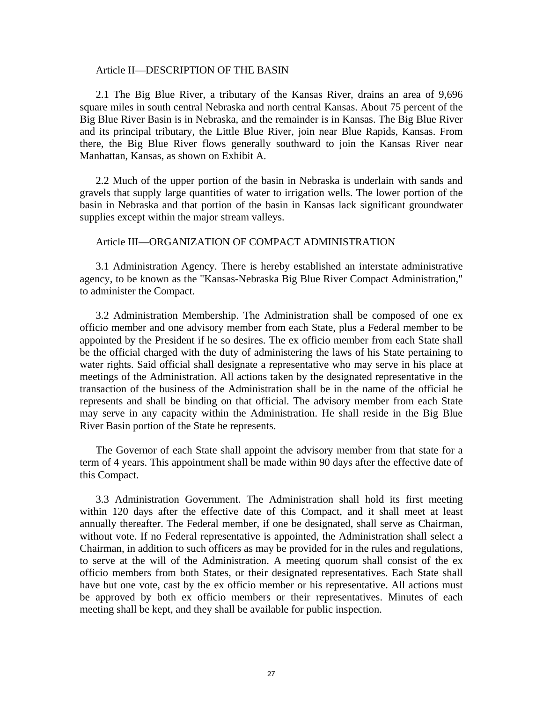#### Article II—DESCRIPTION OF THE BASIN

2.1 The Big Blue River, a tributary of the Kansas River, drains an area of 9,696 square miles in south central Nebraska and north central Kansas. About 75 percent of the Big Blue River Basin is in Nebraska, and the remainder is in Kansas. The Big Blue River and its principal tributary, the Little Blue River, join near Blue Rapids, Kansas. From there, the Big Blue River flows generally southward to join the Kansas River near Manhattan, Kansas, as shown on Exhibit A.

2.2 Much of the upper portion of the basin in Nebraska is underlain with sands and gravels that supply large quantities of water to irrigation wells. The lower portion of the basin in Nebraska and that portion of the basin in Kansas lack significant groundwater supplies except within the major stream valleys.

#### Article III—ORGANIZATION OF COMPACT ADMINISTRATION

3.1 Administration Agency. There is hereby established an interstate administrative agency, to be known as the "Kansas-Nebraska Big Blue River Compact Administration," to administer the Compact.

3.2 Administration Membership. The Administration shall be composed of one ex officio member and one advisory member from each State, plus a Federal member to be appointed by the President if he so desires. The ex officio member from each State shall be the official charged with the duty of administering the laws of his State pertaining to water rights. Said official shall designate a representative who may serve in his place at meetings of the Administration. All actions taken by the designated representative in the transaction of the business of the Administration shall be in the name of the official he represents and shall be binding on that official. The advisory member from each State may serve in any capacity within the Administration. He shall reside in the Big Blue River Basin portion of the State he represents.

The Governor of each State shall appoint the advisory member from that state for a term of 4 years. This appointment shall be made within 90 days after the effective date of this Compact.

3.3 Administration Government. The Administration shall hold its first meeting within 120 days after the effective date of this Compact, and it shall meet at least annually thereafter. The Federal member, if one be designated, shall serve as Chairman, without vote. If no Federal representative is appointed, the Administration shall select a Chairman, in addition to such officers as may be provided for in the rules and regulations, to serve at the will of the Administration. A meeting quorum shall consist of the ex officio members from both States, or their designated representatives. Each State shall have but one vote, cast by the ex officio member or his representative. All actions must be approved by both ex officio members or their representatives. Minutes of each meeting shall be kept, and they shall be available for public inspection.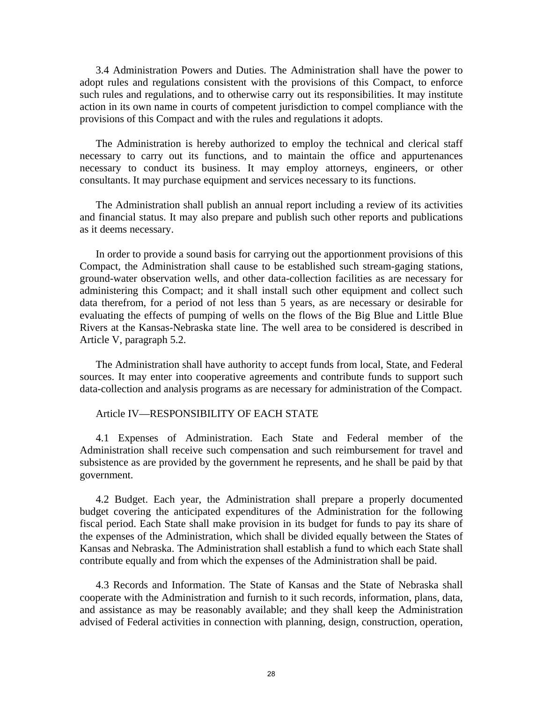3.4 Administration Powers and Duties. The Administration shall have the power to adopt rules and regulations consistent with the provisions of this Compact, to enforce such rules and regulations, and to otherwise carry out its responsibilities. It may institute action in its own name in courts of competent jurisdiction to compel compliance with the provisions of this Compact and with the rules and regulations it adopts.

The Administration is hereby authorized to employ the technical and clerical staff necessary to carry out its functions, and to maintain the office and appurtenances necessary to conduct its business. It may employ attorneys, engineers, or other consultants. It may purchase equipment and services necessary to its functions.

The Administration shall publish an annual report including a review of its activities and financial status. It may also prepare and publish such other reports and publications as it deems necessary.

In order to provide a sound basis for carrying out the apportionment provisions of this Compact, the Administration shall cause to be established such stream-gaging stations, ground-water observation wells, and other data-collection facilities as are necessary for administering this Compact; and it shall install such other equipment and collect such data therefrom, for a period of not less than 5 years, as are necessary or desirable for evaluating the effects of pumping of wells on the flows of the Big Blue and Little Blue Rivers at the Kansas-Nebraska state line. The well area to be considered is described in Article V, paragraph 5.2.

The Administration shall have authority to accept funds from local, State, and Federal sources. It may enter into cooperative agreements and contribute funds to support such data-collection and analysis programs as are necessary for administration of the Compact.

#### Article IV—RESPONSIBILITY OF EACH STATE

4.1 Expenses of Administration. Each State and Federal member of the Administration shall receive such compensation and such reimbursement for travel and subsistence as are provided by the government he represents, and he shall be paid by that government.

4.2 Budget. Each year, the Administration shall prepare a properly documented budget covering the anticipated expenditures of the Administration for the following fiscal period. Each State shall make provision in its budget for funds to pay its share of the expenses of the Administration, which shall be divided equally between the States of Kansas and Nebraska. The Administration shall establish a fund to which each State shall contribute equally and from which the expenses of the Administration shall be paid.

4.3 Records and Information. The State of Kansas and the State of Nebraska shall cooperate with the Administration and furnish to it such records, information, plans, data, and assistance as may be reasonably available; and they shall keep the Administration advised of Federal activities in connection with planning, design, construction, operation,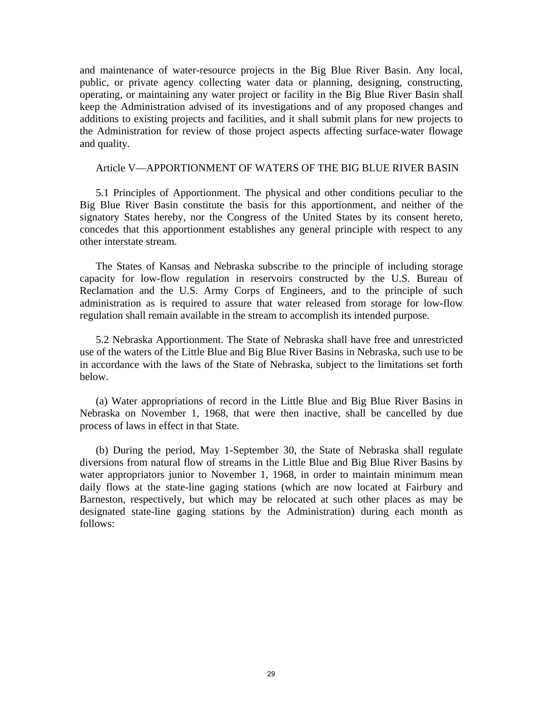and maintenance of water-resource projects in the Big Blue River Basin. Any local, public, or private agency collecting water data or planning, designing, constructing, operating, or maintaining any water project or facility in the Big Blue River Basin shall keep the Administration advised of its investigations and of any proposed changes and additions to existing projects and facilities, and it shall submit plans for new projects to the Administration for review of those project aspects affecting surface-water flowage and quality.

## Article V—APPORTIONMENT OF WATERS OF THE BIG BLUE RIVER BASIN

5.1 Principles of Apportionment. The physical and other conditions peculiar to the Big Blue River Basin constitute the basis for this apportionment, and neither of the signatory States hereby, nor the Congress of the United States by its consent hereto, concedes that this apportionment establishes any general principle with respect to any other interstate stream.

The States of Kansas and Nebraska subscribe to the principle of including storage capacity for low-flow regulation in reservoirs constructed by the U.S. Bureau of Reclamation and the U.S. Army Corps of Engineers, and to the principle of such administration as is required to assure that water released from storage for low-flow regulation shall remain available in the stream to accomplish its intended purpose.

5.2 Nebraska Apportionment. The State of Nebraska shall have free and unrestricted use of the waters of the Little Blue and Big Blue River Basins in Nebraska, such use to be in accordance with the laws of the State of Nebraska, subject to the limitations set forth below.

(a) Water appropriations of record in the Little Blue and Big Blue River Basins in Nebraska on November 1, 1968, that were then inactive, shall be cancelled by due process of laws in effect in that State.

(b) During the period, May 1-September 30, the State of Nebraska shall regulate diversions from natural flow of streams in the Little Blue and Big Blue River Basins by water appropriators junior to November 1, 1968, in order to maintain minimum mean daily flows at the state-line gaging stations (which are now located at Fairbury and Barneston, respectively, but which may be relocated at such other places as may be designated state-line gaging stations by the Administration) during each month as follows: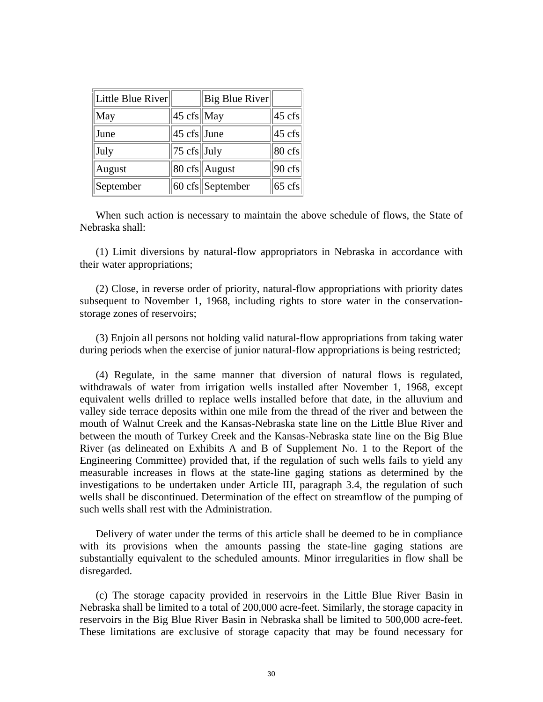| Little Blue River |                         | Big Blue River             |                    |
|-------------------|-------------------------|----------------------------|--------------------|
| May               | 45 cfs May              |                            | $ 45 \text{ cfs} $ |
| June              | $ 45 \text{ cfs} $ June |                            | $ 45 \text{ cfs} $ |
| July              | $ 75 \text{ cfs} $ July |                            | $80 \text{ cfs}$   |
| August            |                         | $80 \text{ cfs}$ August    | $90 \text{ cfs}$   |
| September         |                         | $60 \text{ cfs}$ September | $65 \text{ cfs}$   |

When such action is necessary to maintain the above schedule of flows, the State of Nebraska shall:

(1) Limit diversions by natural-flow appropriators in Nebraska in accordance with their water appropriations;

(2) Close, in reverse order of priority, natural-flow appropriations with priority dates subsequent to November 1, 1968, including rights to store water in the conservationstorage zones of reservoirs;

(3) Enjoin all persons not holding valid natural-flow appropriations from taking water during periods when the exercise of junior natural-flow appropriations is being restricted;

(4) Regulate, in the same manner that diversion of natural flows is regulated, withdrawals of water from irrigation wells installed after November 1, 1968, except equivalent wells drilled to replace wells installed before that date, in the alluvium and valley side terrace deposits within one mile from the thread of the river and between the mouth of Walnut Creek and the Kansas-Nebraska state line on the Little Blue River and between the mouth of Turkey Creek and the Kansas-Nebraska state line on the Big Blue River (as delineated on Exhibits A and B of Supplement No. 1 to the Report of the Engineering Committee) provided that, if the regulation of such wells fails to yield any measurable increases in flows at the state-line gaging stations as determined by the investigations to be undertaken under Article III, paragraph 3.4, the regulation of such wells shall be discontinued. Determination of the effect on streamflow of the pumping of such wells shall rest with the Administration.

Delivery of water under the terms of this article shall be deemed to be in compliance with its provisions when the amounts passing the state-line gaging stations are substantially equivalent to the scheduled amounts. Minor irregularities in flow shall be disregarded.

(c) The storage capacity provided in reservoirs in the Little Blue River Basin in Nebraska shall be limited to a total of 200,000 acre-feet. Similarly, the storage capacity in reservoirs in the Big Blue River Basin in Nebraska shall be limited to 500,000 acre-feet. These limitations are exclusive of storage capacity that may be found necessary for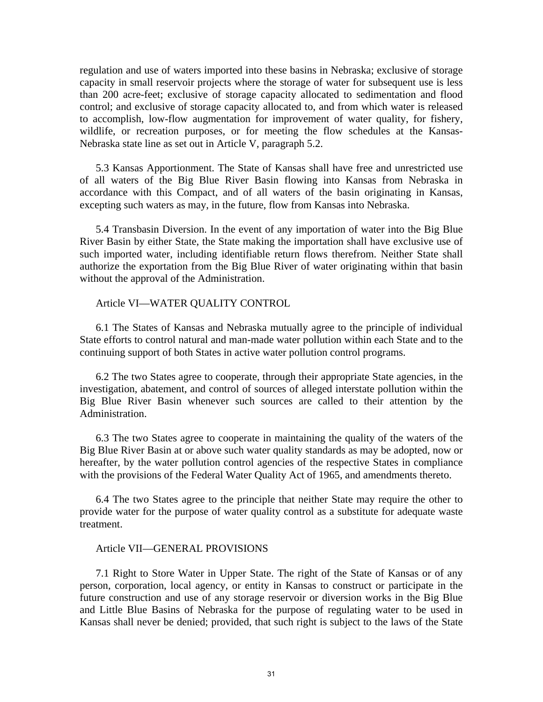regulation and use of waters imported into these basins in Nebraska; exclusive of storage capacity in small reservoir projects where the storage of water for subsequent use is less than 200 acre-feet; exclusive of storage capacity allocated to sedimentation and flood control; and exclusive of storage capacity allocated to, and from which water is released to accomplish, low-flow augmentation for improvement of water quality, for fishery, wildlife, or recreation purposes, or for meeting the flow schedules at the Kansas-Nebraska state line as set out in Article V, paragraph 5.2.

5.3 Kansas Apportionment. The State of Kansas shall have free and unrestricted use of all waters of the Big Blue River Basin flowing into Kansas from Nebraska in accordance with this Compact, and of all waters of the basin originating in Kansas, excepting such waters as may, in the future, flow from Kansas into Nebraska.

5.4 Transbasin Diversion. In the event of any importation of water into the Big Blue River Basin by either State, the State making the importation shall have exclusive use of such imported water, including identifiable return flows therefrom. Neither State shall authorize the exportation from the Big Blue River of water originating within that basin without the approval of the Administration.

#### Article VI—WATER QUALITY CONTROL

6.1 The States of Kansas and Nebraska mutually agree to the principle of individual State efforts to control natural and man-made water pollution within each State and to the continuing support of both States in active water pollution control programs.

6.2 The two States agree to cooperate, through their appropriate State agencies, in the investigation, abatement, and control of sources of alleged interstate pollution within the Big Blue River Basin whenever such sources are called to their attention by the Administration.

6.3 The two States agree to cooperate in maintaining the quality of the waters of the Big Blue River Basin at or above such water quality standards as may be adopted, now or hereafter, by the water pollution control agencies of the respective States in compliance with the provisions of the Federal Water Quality Act of 1965, and amendments thereto.

6.4 The two States agree to the principle that neither State may require the other to provide water for the purpose of water quality control as a substitute for adequate waste treatment.

#### Article VII—GENERAL PROVISIONS

7.1 Right to Store Water in Upper State. The right of the State of Kansas or of any person, corporation, local agency, or entity in Kansas to construct or participate in the future construction and use of any storage reservoir or diversion works in the Big Blue and Little Blue Basins of Nebraska for the purpose of regulating water to be used in Kansas shall never be denied; provided, that such right is subject to the laws of the State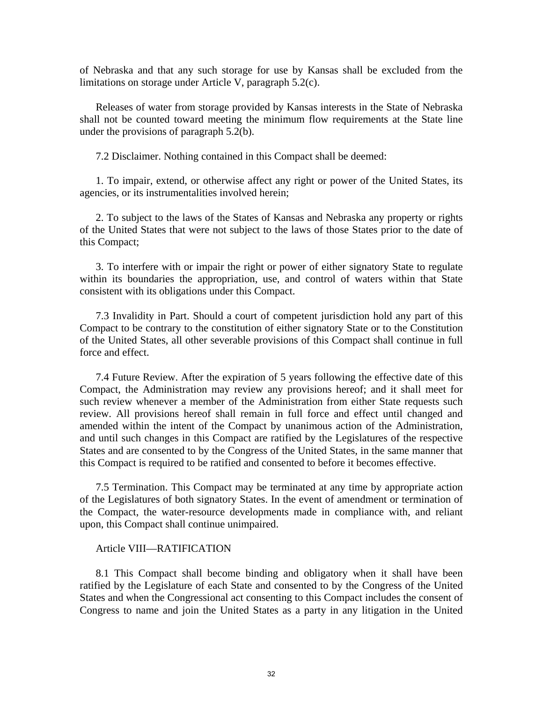of Nebraska and that any such storage for use by Kansas shall be excluded from the limitations on storage under Article V, paragraph 5.2(c).

Releases of water from storage provided by Kansas interests in the State of Nebraska shall not be counted toward meeting the minimum flow requirements at the State line under the provisions of paragraph 5.2(b).

7.2 Disclaimer. Nothing contained in this Compact shall be deemed:

1. To impair, extend, or otherwise affect any right or power of the United States, its agencies, or its instrumentalities involved herein;

2. To subject to the laws of the States of Kansas and Nebraska any property or rights of the United States that were not subject to the laws of those States prior to the date of this Compact;

3. To interfere with or impair the right or power of either signatory State to regulate within its boundaries the appropriation, use, and control of waters within that State consistent with its obligations under this Compact.

7.3 Invalidity in Part. Should a court of competent jurisdiction hold any part of this Compact to be contrary to the constitution of either signatory State or to the Constitution of the United States, all other severable provisions of this Compact shall continue in full force and effect.

7.4 Future Review. After the expiration of 5 years following the effective date of this Compact, the Administration may review any provisions hereof; and it shall meet for such review whenever a member of the Administration from either State requests such review. All provisions hereof shall remain in full force and effect until changed and amended within the intent of the Compact by unanimous action of the Administration, and until such changes in this Compact are ratified by the Legislatures of the respective States and are consented to by the Congress of the United States, in the same manner that this Compact is required to be ratified and consented to before it becomes effective.

7.5 Termination. This Compact may be terminated at any time by appropriate action of the Legislatures of both signatory States. In the event of amendment or termination of the Compact, the water-resource developments made in compliance with, and reliant upon, this Compact shall continue unimpaired.

#### Article VIII—RATIFICATION

8.1 This Compact shall become binding and obligatory when it shall have been ratified by the Legislature of each State and consented to by the Congress of the United States and when the Congressional act consenting to this Compact includes the consent of Congress to name and join the United States as a party in any litigation in the United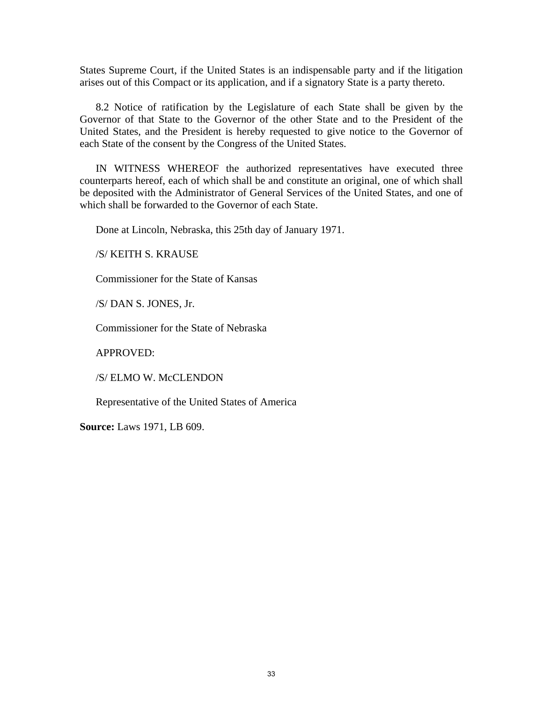States Supreme Court, if the United States is an indispensable party and if the litigation arises out of this Compact or its application, and if a signatory State is a party thereto.

8.2 Notice of ratification by the Legislature of each State shall be given by the Governor of that State to the Governor of the other State and to the President of the United States, and the President is hereby requested to give notice to the Governor of each State of the consent by the Congress of the United States.

IN WITNESS WHEREOF the authorized representatives have executed three counterparts hereof, each of which shall be and constitute an original, one of which shall be deposited with the Administrator of General Services of the United States, and one of which shall be forwarded to the Governor of each State.

Done at Lincoln, Nebraska, this 25th day of January 1971.

/S/ KEITH S. KRAUSE

Commissioner for the State of Kansas

/S/ DAN S. JONES, Jr.

Commissioner for the State of Nebraska

APPROVED:

/S/ ELMO W. McCLENDON

Representative of the United States of America

**Source:** Laws 1971, LB 609.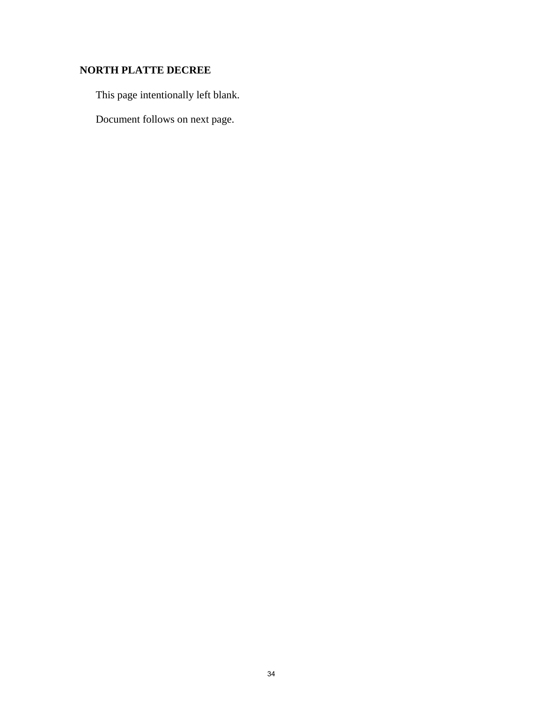## <span id="page-35-0"></span>**NORTH PLATTE DECREE**

This page intentionally left blank.

Document follows on next page.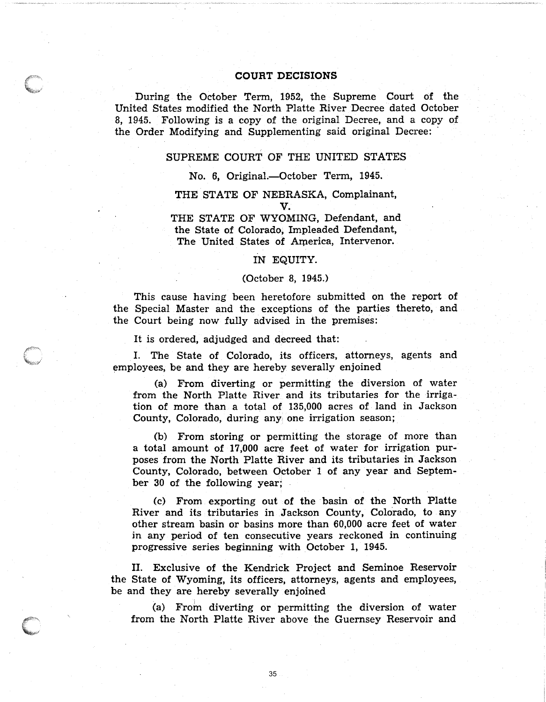#### **COURT DECISIONS**

During the October Term, 1952, the Supreme Court of the United States modified the North Platte River Decree dated October 8, 1945. Following is a copy of the original Decree, and a copy of the Order Modifying and Supplementing said original Decree:

## SUPREME COURT OF THE UNITED STATES

#### No. 6, Original.-October Term, 1945.

#### THE STATE OF NEBRASKA, Complainant, V.

THE STATE OF WYOMING, Defendant, and the State of Colorado, Impleaded Defendant, The United States of America, Intervenor.

#### IN EQUITY.

#### (October 8, 1945.)

This cause having been heretofore submitted on the report of the Special Master and the exceptions of the parties thereto, and the Court being now fully advised in the premises:

It is ordered, adjudged and decreed that:

1. The State of Colorado, its officers, attorneys, agents and employees, be and they are hereby severally enjoined

(a) From diverting or permitting the diversion of water from the North Platte River and its tributaries for the irrigation of more than a total of 135,000 acres of land in Jackson County, Colorado, during any, one irrigation season;

(b) From storing or permitting the storage of more than a total amount of 17,000 acre feet of water for irrigation purposes from the North Platte River and its tributaries in Jackson County, Colorado, between October 1 of any year and September 30 of the following year;

(c) From exporting out of the basin of the North Platte River and its tributaries in Jackson County, Colorado, to any other stream basin or basins more than 60,000 acre feet of water in any period of ten consecutive years reckoned in continuing progressive series beginning with October 1, 1945.

II. Exclusive of the Kendrick Project and Seminoe Heservoir the State of Wyoming, its officers, attorneys, agents and employees, be and they are hereby severally enjoined

(a) From diverting or permitting the diversion of water from the North Platte River above the Guernsey Reservoir and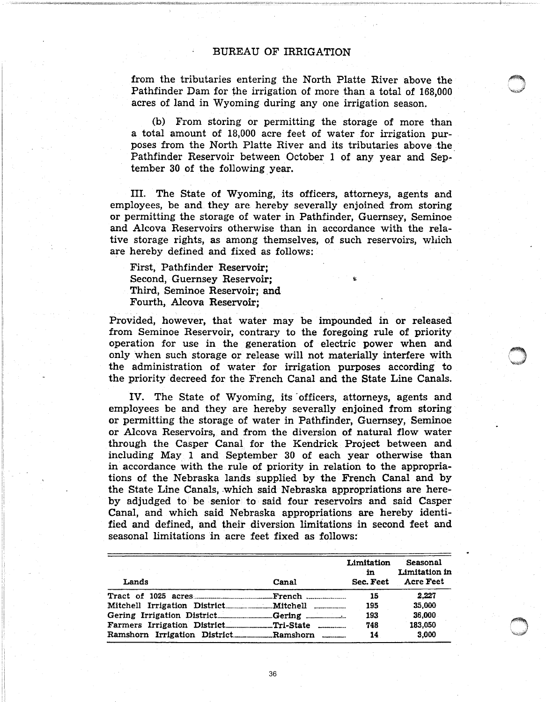from the tributaries entering the North Platte River above the Pathfinder Dam for the irrigation of more than a total of 168,000 acres of land in Wyoming during anyone irrigation season.

(b) From storing or permitting the storage of more than a total amount of 18,000 acre feet of water for irrigation purposes from the North Platte River and its tributaries above the Pathfinder Reservoir between October 1 of any year and September 30 of the following. year.

III. The State of Wyoming, its officers, attorneys, agents and employees, be and. they are hereby severally enjoined from storing or permitting the storage of water in Pathfinder, Guernsey, Seminoe and Alcova Reservoirs otherwise than in accordance with the relative storage rights, as among themselves, of such reservoirs, which are hereby defined and fixed as follows:

First, Pathfinder Reservoir; Second, Guernsey Reservoir; Third, Seminoe Reservoir; and Fourth, Alcova Reservoir;

Provided, however, that water may be impounded in or released from Seminoe Reservoir, contrary to the foregoing rule of priority operation for use in the generation of electric power when and only when such storage or release will not materially interfere with the administration of water for irrigation purposes according to the priority decreed for the French Canal and the State Line Canals.

IV. The State of Wyoming, its officers, attorneys, agents and employees be and they are hereby severally enjoined from storing or permitting the storage of water in Pathfinder, Guernsey, Seminoe or Alcova Reservoirs, and from the diversion of natural flow water through the Casper Canal for the Kendrick Project between and including May. 1 and September 30 of each year otherwise than in accordance with the rule of priority in relation to the appropriations of the Nebraska lands supplied by the French Canal and by the State Line Canals, which said Nebraska appropriations are hereby adjudged to be senior to said four reservoirs and said Casper Canal, and which said Nebraska appropriations are hereby identified and defined, and their diversion limitations in second feet and seasonal limitations in acre feet fixed as follows:

|       |       | Limitation<br>in | Seasonal<br>Limitation in |
|-------|-------|------------------|---------------------------|
| Lands | Canal | Sec. Feet        | <b>Acre Feet</b>          |
|       |       | 15               | 2.227                     |
|       |       | 195              | 35.000                    |
|       |       | 193              | 36,000                    |
|       |       | 748              | 183.050                   |
|       |       | 14               | 3.000                     |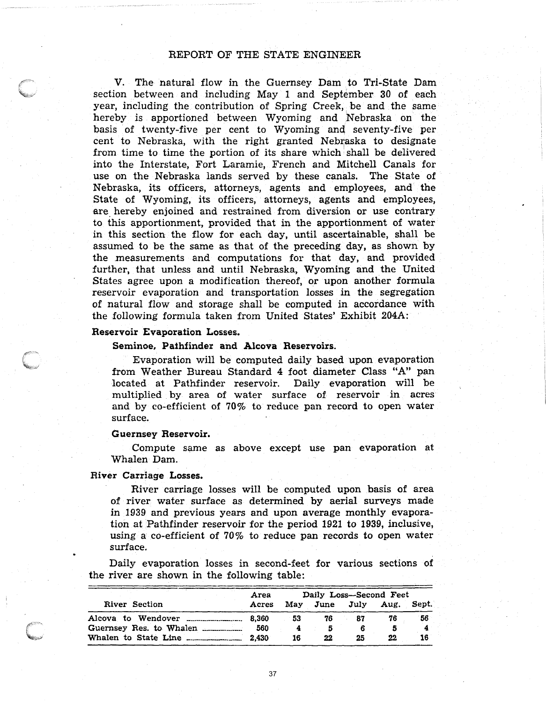### REPORT OF THE STATE ENGINEER

V. The natural flow in the Guernsey Dam to Tri-State Dam section between and including May 1 and September 30 of each year, including the contribution of Spring Creek, be and the same hereby is apportioned between Wyoming and Nebraska on the basis of twenty-five per cent to Wyoming and seventy-five per cent to Nebraska, with the right granted Nebraska to designate from time to time the portion of its share which shall be delivered into the Interstate, Fort Laramie, French and Mitchell Canals for use on the Nebraska lands served by these canals. The State of Nebraska, its officers, attorneys, agents and employees, and the State of Wyoming, its officers, attorneys, agents and employees, are hereby enjoined and restrained from diversion or use contrary to this apportionment, provided that in the apportionment of water in this section the flow for each day, until ascertainable, shall be assumed to be the same as that of the preceding day, as shown by the measurements and computations for that day, and provided further, that unless and until Nebraska, Wyoming and the United States agree upon a modification thereof, or upon another formula reservoir evaporation and transportation losses in the segregation of natural flow and storage shall be computed in accordance with the following formula taken from United States'Exhibit 204A:

#### Reservoir Evaporation Losses.

#### Seminoe, Pathfinder and Alcova Reservoirs.

Evaporation will be computed daily based upon evaporation from Weather Bureau Standard 4 foot diameter Class "A" pan located at Pathfinder reservoir. Daily evaporation will be multiplied by area of water surface of reservoir in acres and by co-efficient of 70% to reduce pan record to open water surface.

#### Guernsey Reservoir.

Compute same as above except use pan evaporation at Whalen Dam.

#### River Carriage Losses.

River carriage losses will be computed upon basis of area of river water surface as determined by aerial surveys made in 1939 and previous years and upon average monthly evaporation at Pathfinder reservoir for the period 1921 to 1939, inclusive, using a co-efficient of  $70\%$  to reduce pan records to open water surface.

Daily evaporation losses in second-feet for various sections of the river are shown in the following table:

|                         | Area  | Daily Loss--Second Feet |    |    |                    |       |
|-------------------------|-------|-------------------------|----|----|--------------------|-------|
| River Section           | Acres |                         |    |    | May June July Aug. | Sept. |
|                         | 8.360 | 53                      | 76 | 87 | 76                 | 56    |
| Guernsey Res. to Whalen | 560   |                         |    |    |                    |       |
|                         | 2.430 | 16                      | 22 | 25 | 22                 | 16    |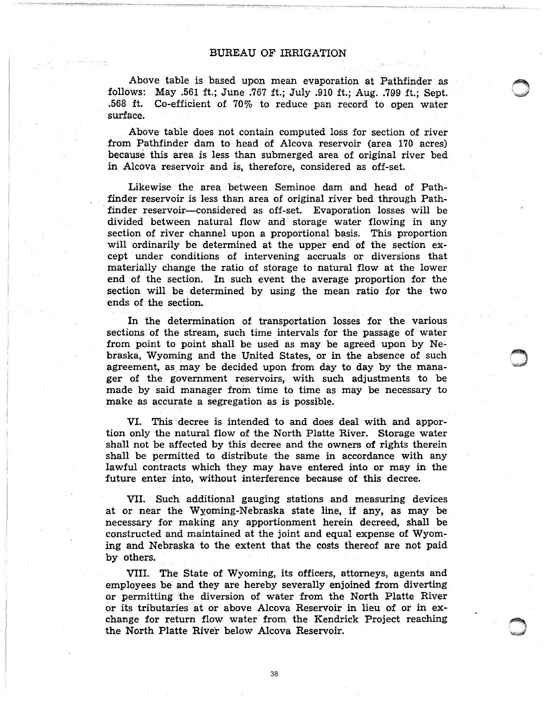Above table is based upon mean evaporation at Pathfinder as follows: May .561 ft.; June .767 ft.; July .910 ft.; Aug..799 ft.; Sept. .568 ft. Co-efficient of 70% to reduce pan record to open water surface.

Above table does not contain computed loss for section of river from Pathfinder dam to head of Alcova reservoir (area 170 acres) because this area is less than submerged area of original river bed in Alcova reservoir and is, therefore, considered as off-set.

Likewise the area between Seminoe dam and head of Pathfinder reservoir is less than area of original river bed through Path- .finder reservoir-considered as off-set. Evaporation losses will be divided between natural flow and storage water flowing in any section of river channel upon a proportional basis. This proportion will ordinarily be determined at the upper end of the section except under conditions of intervening accruals or diversions that materially change the ratio of storage to natural flow at the lower end of the section. In such event the average proportion for the section will be determined by using the mean ratio for the two ends of the section.

In the determination of transportation losses for the various sections of the stream, such time intervals for the passage of water from point to point shall be used as may be agreed upon by Nebraska, Wyoming and the United States, or in the absence of such agreement, as may be decided upon from day to day by the manager of the government reservoirs, with such adjustments to be made by said manager from time to time as may be necessary to make as accurate a segregation as is possible.

VI. This decree is intended to and does deal with and apportion only the natural flow of the North Platte River. Storage water shall not be affected by this decree and the owners of rights therein shall be permitted to distribute the same in accordance with any lawful contracts which they may have entered into or may in the future enter into, without interference because of this decree.

VII. Such additional gauging stations and measuring devices at or near the Wyoming-Nebraska state line, if any, as may be necessary for making any apportionment herein decreed, shall be constructed and maintained at the joint and equal expense of Wyoming and Nebraska to the extent that the costs thereof are not paid by others.

VIII. The State of Wyoming, its officers, attorneys, agents and employees be and they are hereby severally enjoined from diverting or permitting the diversion of water from the North Platte River or its tributaries at or above Alcova Reservoir in lieu of or in exchange for return flow water from the Kendrick Project reaching the North Platte River below Alcova Reservoir.

38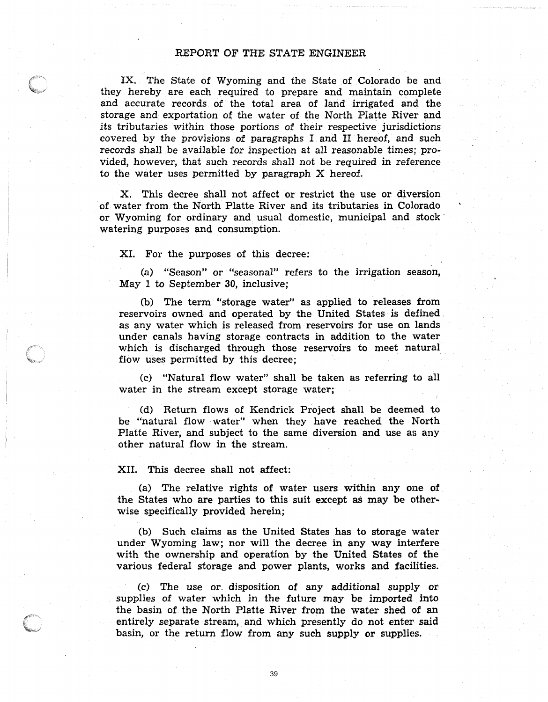## REPORT OF THE STATE ENGINEER

IX. The State of Wyoming and the State of Colorado be and they hereby are each required to prepare and maintain complete and accurate records of the total area of land irrigated and the storage and exportation of the water of the North Platte River and its tributaries within those portions of their respective jurisdictions covered by the provisions of paragraphs I and II hereof, and such records shall be available for inspection at all reasonable times; provided, however, that such records shall not be required in reference to the water uses permitted by paragraph X hereof.

X. This decree shall not affect or restrict the use or diversion of water from the North Platte River and its tributaries in Colorado or Wyoming for ordinary and usual domestic, municipal and stock watering purposes and consumption.

#### XI. For the purposes of this decree:

(a) "Season" or "seasonal" refers to the irrigation season, May 1 to September 3D, inclusive;

(b) The term "storage water" as applied to releases from reservoirs owned and operated by the United States is defined as any water which is released from reservoirs for use on lands under canals having storage contracts in addition to the water which is discharged through those reservoirs to meet natural flow uses permitted by this decree;

(c) "Natural flow water" shall be taken as referring to all water in the stream except storage water;

(d) Return flows of Kendrick Project shall be deemed to be "natural flow water" when they have reached the North Platte River, and subject to the same diversion and use as any other natural flow in the stream.

#### XII. This decree shall not affect:

(a) The relative rights of water users within any one of the States who are parties to this suit except as may be otherwise specifically provided herein;

(b) Such claims as the United States has to storage water under Wyoming law; nor will the decree in any way interfere with the ownership and operation by the United States of the various federal storage and power plants, works and facilities.

(c) The use or. disposition of any additional supply or supplies of water which in the future may be imported into the basin of the North Platte River from the water shed of an entirely separate stream, and which presently do not enter said basin, or the return flow from any such supply or supplies.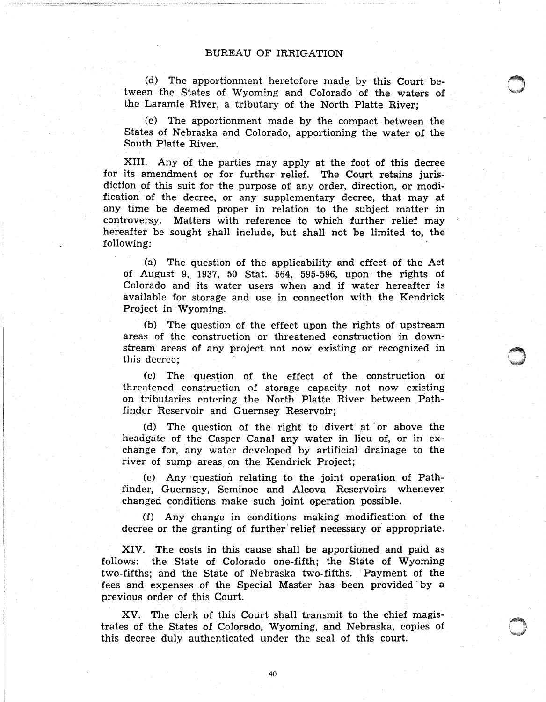#### BUREAU OF IRRIGATION

(d) The apportionment heretofore made by this Court between the States of Wyoming and Colorado of the waters of the Laramie River, a tributary of the North Platte River;

(e) The apportionment made by the compact between the States of Nebraska and Colorado, apportioning the water of the South Platte River.

XIII. Any of the parties may apply at the foot of this decree for its amendment or for further relief. The Court retains jurisdiction of this suit for the purpose of any order, direction, or modification of the decree, or any supplementary decree, that may at any time be deemed proper in relation to the subject matter in controversy. Matters with reference to which further relief may hereafter be sought shall include, but shall not be limited to, the following:

(a) The question of the applicability and effect of the Act of August 9, 1937, 50 Stat. 564, 595-596, upon· the rights of Colorado and its water users when and if water hereafter is available for storage and use in connection with the Kendrick Project in Wyoming.

(b) The question of the effect upon the rights of upstream areas of the construction or threatened construction in downstream areas of any project not now existing or recognized in this decree;

(c) The question of the effect of the construction or threatened construction of storage capacity not now existing on tributaries entering the North Platte River between Pathfinder Reservoir and Guernsey Reservoir;

(d) The question of the right to divert at' or above the headgate of the Casper Canal any water in lieu of, or in exchange for, any water developed by artificial drainage to the river of sump areas on the Kendrick Project;

(e) Any ·question relating to the joint operation of Pathfinder, Guernsey, Seminoe and Alcova Reservoirs whenever changed conditions make such joint operation possible.

(f) Any change in conditions making modification of the decree or the granting of further relief necessary or appropriate.

XIV. The costs in this cause shall be apportioned and paid as follows: the State of Colorado one-fifth; the State of Wyoming two-fifths; and the State of Nebraska two-fifths. Payment of the fees and expenses of the Special Master has been provided by a previous order of this Court.

XV. The clerk of this Court shall transmit to the chief magistrates of the States of Colorado, Wyoming, and Nebraska, copies of this decree duly authenticated under the seal of this court.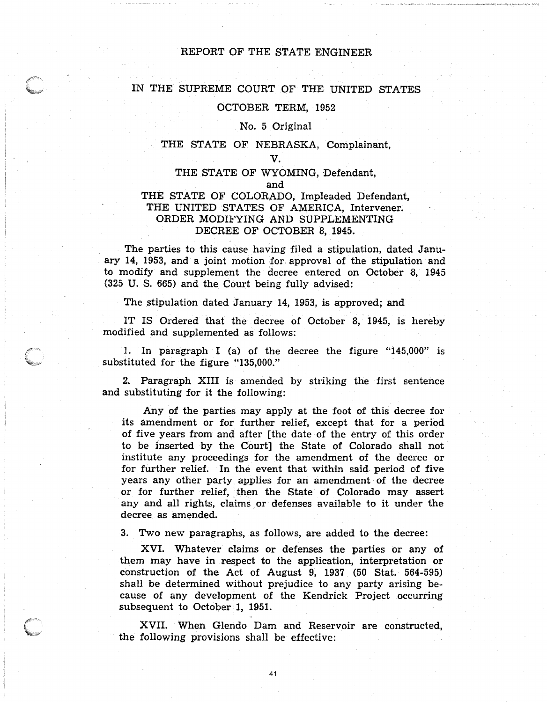## REPORT OF THE STATE ENGINEER

#### IN THE SUPREME COURT OF THE UNITED STATES

#### OCTOBER TERM, 1952

#### No. 5 Original

#### THE STATE OF NEBRASKA, Complainant,

#### V.

#### THE STATE OF WYOMING, Defendant,

#### and

## THE STATE OF COLORADO, Impleaded Defendant, THE UNITED STATES OF AMERICA, Intervener. ORDER MODIFYING AND SUPPLEMENTING DECREE OF OCTOBER 8, 1945.

The parties to this cause having filed a stipulation, dated Janu- . ary 14, 1953, and a joint motion for. approval of the stipulation and to modify and supplement the decree entered on October 8, 1945 (325 U. S. 665) and the Court being fully advised:

The stipulation dated January 14, 1953, is approved; and

IT IS Ordered that the decree of October 8, 1945, is hereby modified and supplemented as follows:

1. In paragraph I (a) of the decree the figure "145,000" is substituted for the figure "135,000."

2. Paragraph XIII is amended by striking the first sentence and substituting for it the following:

Any of the parties may apply at the foot of this decree for its amendment or for. further relief, except that for a period of five years from and after [the date of the entry of this order to be inserted by the Court] the State of Colorado shall not institute any proceedings for the amendment of the decree or for further relief. In the event that within said period of five years any other party applies for an amendment of the decree or for further relief, then the State of Colorado may assert any and all rights, claims or defenses available to it under the decree as amended.

3. Two new paragraphs, as follows, are added to the decree:

XVI. Whatever claims or defenses the parties or any of them may have in respect to the application, interpretation or construction of the Act of August 9, 1937 (50 Stat. 564-595) shall be determined without prejudice to any party arising because of any development of the Kendrick Project occurring subsequent to October 1, 1951.

XVII. When Glendo Dam and Reservoir are constructed, the following provisions shall be effective: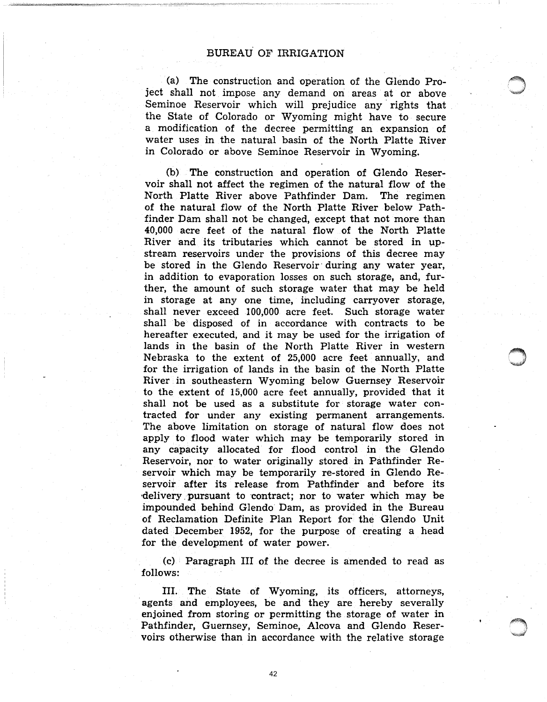## BUREAU OF IRRIGATION

(a) The construction and operation of the Glendo Project shall not impose any demand on areas at or above Seminoe Reservoir which will prejudice any rights that the State of Colorado or Wyoming might have to secure a modification of the decree permitting an expansion of water uses in the natural basin of the North Platte River in Colorado· or above Seminoe Reservoir in Wyoming.

(b) The construction and operation of Glendo Reservoir shall not affect the regimen of the natural flow of the North Platte River above Pathfinder Dam. The regimen of the natural flow of the North Platte River below Pathfinder Dam shall not be changed, except that not more than 40,000 acre feet of the natural flow of the North Platte River and its tributaries which cannot be stored in upstream reservoirs under the provisions of this decree may be stored in the Glendo Reservoir during any water year, in addition to evaporation losses on such storage, and, further, the amount of such storage water that may be held in storage at any one time, including carryover storage, shall never exceed 100,000 acre feet. Such storage water shall be disposed of in accordance with contracts to be hereafter executed, and it may be used for the irrigation of lands in the basin of the North Platte River in western Nebraska to the extent of 25,000 acre feet annually, and for the irrigation of lands in the basin of the North Platte River in southeastern Wyoming below Guernsey Reservoir to the extent of 15,000 acre feet annually, provided that it shall not be used as a substitute for storage water contracted for under any existing permanent arrangements. The above limitation on storage of natural flow does not apply to flood water which may be temporarily stored in any capacity allocated for flood control in the Glendo Reservoir, nor to water originally stored in Pathfinder Reservoir which may be temporarily re-stored in Glendo Reservoir after its release from Pathfinder and before its delivery pursuant to contract; nor to water which may be impounded behind Glendo Dam, as provided in the Bureau of Reclamation Definite Plan Report for the Glendo Unit dated December 1952, for the purpose of creating a head for the development of water power.

(c) Paragraph III of the decree is amended to read as follows:

III. The State of Wyoming, its officers, attorneys, agents and employees, be and they are hereby severally enjoined from storing or permitting the storage of water in Pathfinder, Guernsey, Seminoe, Alcova and Glendo Reservoirs otherwise than in accordance with the relative storage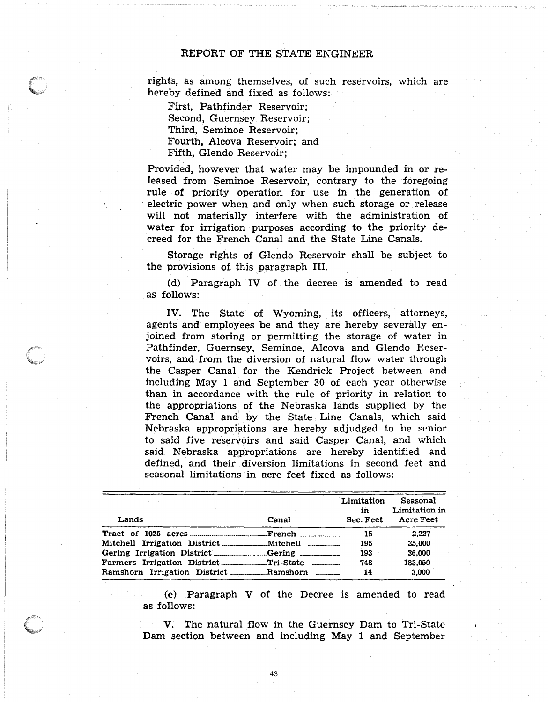### REPORT OF THE STATE ENGINEER

rights, as among themselves, of such reservoirs, which are hereby defined and fixed as follows:

First, Pathfinder Reservoir; Second, Guernsey Reservoir; Third, Seminoe Reservoir; Fourth, Alcova Reservoir; and Fifth, Glendo Reservoir;

Provided, however that water may be impounded in or released from Seminoe Reservoir, contrary to the foregoing rule of priority operation for use in the generation of , electric power when and only when such storage or release will not materially interfere with the administration of water for irrigation purposes according to the priority decreed for the French Canal and the State Line Canals.

Storage rights of Glendo Reservoir shall be subject to the provisions of this paragraph III.

(d) Paragraph IV of the decree is amended to read as follows:

IV. The State of Wyoming, its officers, attorneys, agents and employees be and they are hereby severally enjoined from storing or permitting the storage of water in Pathfinder, Guernsey, Seminoe, Alcova and Glendo Reservoirs, and from the diversion of natural flow water through the Casper Canal for the Kendrick Project between and including May 1 and September 30 of each year otherwise than in accordance with the rule of priority in relation to the appropriations of the Nebraska lands supplied by the French Canal and by the State Line Canals, which said Nebraska appropriations are hereby adjudged to be senior to said five reservoirs and said Casper Canal, and which said Nebraska appropriations are hereby identified and defined, and their diversion limitations in second feet and seasonal limitations in acre feet fixed as follows:

| Lands                                                                             | Canal | Limitation<br>in<br>Sec. Feet | Seasonal<br>Limitation in<br><b>Acre Feet</b> |  |
|-----------------------------------------------------------------------------------|-------|-------------------------------|-----------------------------------------------|--|
|                                                                                   |       | -15                           | 2.227                                         |  |
|                                                                                   |       | 195                           | 35,000                                        |  |
| Gering Irrigation District _______________Gering ________________________________ |       | 193                           | 36,000                                        |  |
| Farmers Irrigation DistrictTri-State                                              |       | 748                           | 183,050                                       |  |
|                                                                                   |       | 14                            | 3.000                                         |  |

43

(e) Paragraph V of the Decree is amended to read as follows:

V. The natural flow in the Guernsey Dam to Tri-State Dam section between and including May 1 and September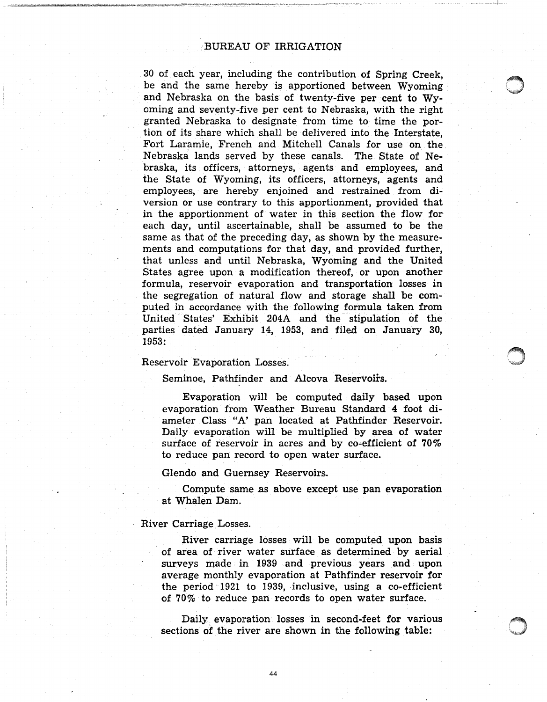#### BUREAU OF IRRIGATION

30 of each year, including the contribution of Spring Creek, be and the same hereby is apportioned between Wyoming and Nebraska on the basis of twenty-five per cent to Wyoming and seventy-five per cent to Nebraska, with the right granted Nebraska to designate from time to time the portion of its share which shall be delivered into the Interstate, Fort Laramie, French and Mitchell Canals for use on the Nebraska lands served by these canals. The State of Nebraska, its officers, attorneys, agents and employees, and the State of Wyoming, its officers, attorneys, agents and employees, are hereby enjoined and restrained from diversion or use contrary to this apportionment, provided that in the apportionment of water in this section the flow for each day, until ascertainable, shall be assumed to be the same as that of the preceding day, as shown by the measurements and computations for that day, and provided further, that unless and until Nebraska, Wyoming and the United States agree upon a modification thereof, or upon another formula, reservoir evaporation and transportation losses in the segregation of natural flow and storage shall be computed in accordance with the following formula taken from United States' Exhibit 204A and the stipulation of the parties dated January 14, 1953, and filed on January 30, 1953:

#### Reservoir Evaporation Losses.

Seminoe, Pathfinder and Alcova Reservoirs.

Evaporation will be computed daily based upon evaporation from Weather Bureau Standard 4 foot diameter Class "A' pan located at Pathfinder Reservoir. Daily evaporation will be multiplied by area of water surface of reservoir in acres and by co-efficient of 70% to reduce pan record to open water surface.

Glendo and Guernsey Reservoirs.

Compute same as above except use pan evaporation at Whalen Dam.

#### River Carriage, Losses.

River carriage losses will be computed upon basis of area of river water surface as determined by aerial surveys made in 1939 and previous years and upon average monthly evaporation at Pathfinder reservoir for the period  $1921$  to 1939, inclusive, using a co-efficient of 70% to reduce pan records to open water surface.

Daily evaporation losses in second-feet for various sections of the river are shown in the following table: